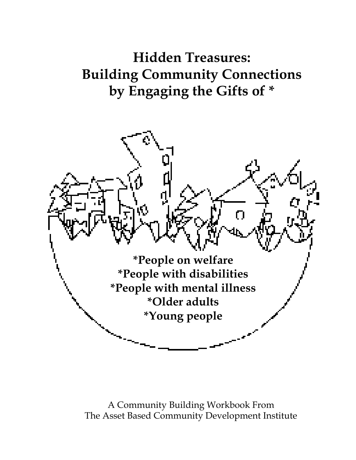### **Hidden Treasures: Building Community Connections by Engaging the Gifts of \***



The Asset Based Community Development Institute A Community Building Workbook From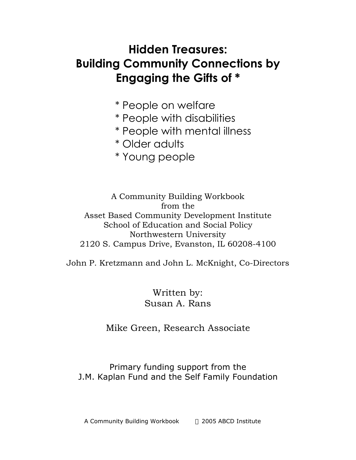### **Hidden Treasures: Building Community Connections by Engaging the Gifts of \***

- \* People on welfare
- \* People with disabilities
- \* People with mental illness
- \* Older adults
- \* Young people

A Community Building Workbook from the Asset Based Community Development Institute School of Education and Social Policy Northwestern University 2120 S. Campus Drive, Evanston, IL 60208-4100

John P. Kretzmann and John L. McKnight, Co-Directors

Written by: Susan A. Rans

Mike Green, Research Associate

Primary funding support from the J.M. Kaplan Fund and the Self Family Foundation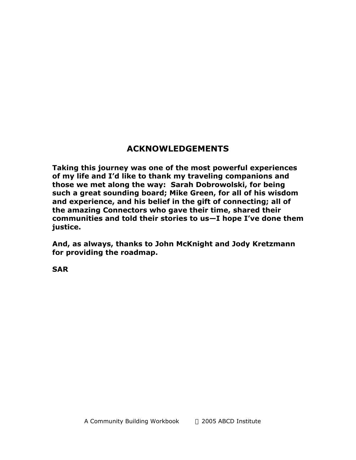### **ACKNOWLEDGEMENTS**

**Taking this journey was one of the most powerful experiences of my life and I'd like to thank my traveling companions and those we met along the way: Sarah Dobrowolski, for being such a great sounding board; Mike Green, for all of his wisdom and experience, and his belief in the gift of connecting; all of the amazing Connectors who gave their time, shared their communities and told their stories to us—I hope I've done them justice.**

**And, as always, thanks to John McKnight and Jody Kretzmann for providing the roadmap.**

**SAR**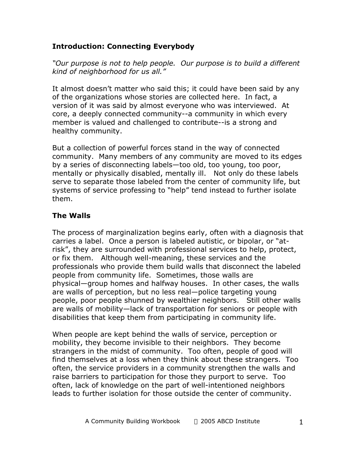### **Introduction: Connecting Everybody**

*"Our purpose is not to help people. Our purpose is to build a different kind of neighborhood for us all."*

It almost doesn't matter who said this; it could have been said by any of the organizations whose stories are collected here. In fact, a version of it was said by almost everyone who was interviewed. At core, a deeply connected community--a community in which every member is valued and challenged to contribute--is a strong and healthy community.

But a collection of powerful forces stand in the way of connected community. Many members of any community are moved to its edges by a series of disconnecting labels—too old, too young, too poor, mentally or physically disabled, mentally ill. Not only do these labels serve to separate those labeled from the center of community life, but systems of service professing to "help" tend instead to further isolate them.

### **The Walls**

The process of marginalization begins early, often with a diagnosis that carries a label. Once a person is labeled autistic, or bipolar, or "atrisk", they are surrounded with professional services to help, protect, or fix them. Although well-meaning, these services and the professionals who provide them build walls that disconnect the labeled people from community life. Sometimes, those walls are physical—group homes and halfway houses. In other cases, the walls are walls of perception, but no less real—police targeting young people, poor people shunned by wealthier neighbors. Still other walls are walls of mobility—lack of transportation for seniors or people with disabilities that keep them from participating in community life.

When people are kept behind the walls of service, perception or mobility, they become invisible to their neighbors. They become strangers in the midst of community. Too often, people of good will find themselves at a loss when they think about these strangers. Too often, the service providers in a community strengthen the walls and raise barriers to participation for those they purport to serve. Too often, lack of knowledge on the part of well-intentioned neighbors leads to further isolation for those outside the center of community.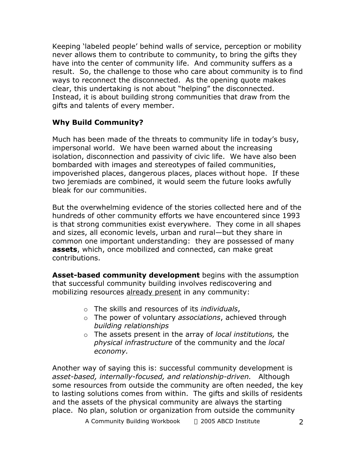Keeping 'labeled people' behind walls of service, perception or mobility never allows them to contribute to community, to bring the gifts they have into the center of community life. And community suffers as a result. So, the challenge to those who care about community is to find ways to reconnect the disconnected. As the opening quote makes clear, this undertaking is not about "helping" the disconnected. Instead, it is about building strong communities that draw from the gifts and talents of every member.

### **Why Build Community?**

Much has been made of the threats to community life in today's busy, impersonal world. We have been warned about the increasing isolation, disconnection and passivity of civic life. We have also been bombarded with images and stereotypes of failed communities, impoverished places, dangerous places, places without hope. If these two jeremiads are combined, it would seem the future looks awfully bleak for our communities.

But the overwhelming evidence of the stories collected here and of the hundreds of other community efforts we have encountered since 1993 is that strong communities exist everywhere. They come in all shapes and sizes, all economic levels, urban and rural—but they share in common one important understanding: they are possessed of many **assets**, which, once mobilized and connected, can make great contributions.

**Asset-based community development** begins with the assumption that successful community building involves rediscovering and mobilizing resources already present in any community:

- o The skills and resources of its *individuals*,
- o The power of voluntary *associations*, achieved through *building relationships*
- o The assets present in the array of *local institutions,* the *physical infrastructure* of the community and the *local economy.*

Another way of saying this is: successful community development is *asset-based, internally-focused, and relationship-driven.* Although some resources from outside the community are often needed, the key to lasting solutions comes from within. The gifts and skills of residents and the assets of the physical community are always the starting place. No plan, solution or organization from outside the community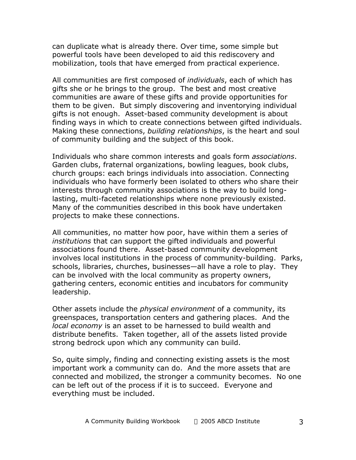can duplicate what is already there. Over time, some simple but powerful tools have been developed to aid this rediscovery and mobilization, tools that have emerged from practical experience.

All communities are first composed of *individuals*, each of which has gifts she or he brings to the group. The best and most creative communities are aware of these gifts and provide opportunities for them to be given. But simply discovering and inventorying individual gifts is not enough. Asset-based community development is about finding ways in which to create connections between gifted individuals. Making these connections, *building relationships*, is the heart and soul of community building and the subject of this book.

Individuals who share common interests and goals form *associations*. Garden clubs, fraternal organizations, bowling leagues, book clubs, church groups: each brings individuals into association. Connecting individuals who have formerly been isolated to others who share their interests through community associations is the way to build longlasting, multi-faceted relationships where none previously existed. Many of the communities described in this book have undertaken projects to make these connections.

All communities, no matter how poor, have within them a series of *institutions* that can support the gifted individuals and powerful associations found there. Asset-based community development involves local institutions in the process of community-building. Parks, schools, libraries, churches, businesses—all have a role to play. They can be involved with the local community as property owners, gathering centers, economic entities and incubators for community leadership.

Other assets include the *physical environment* of a community, its greenspaces, transportation centers and gathering places. And the *local economy* is an asset to be harnessed to build wealth and distribute benefits. Taken together, all of the assets listed provide strong bedrock upon which any community can build.

So, quite simply, finding and connecting existing assets is the most important work a community can do. And the more assets that are connected and mobilized, the stronger a community becomes. No one can be left out of the process if it is to succeed. Everyone and everything must be included.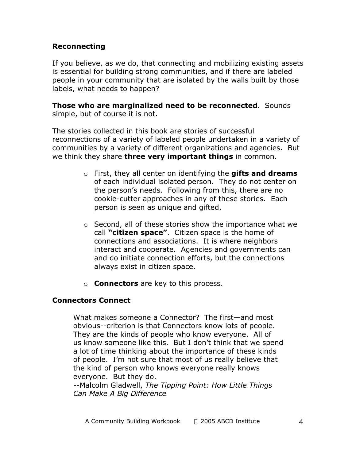### **Reconnecting**

If you believe, as we do, that connecting and mobilizing existing assets is essential for building strong communities, and if there are labeled people in your community that are isolated by the walls built by those labels, what needs to happen?

**Those who are marginalized need to be reconnected**. Sounds simple, but of course it is not.

The stories collected in this book are stories of successful reconnections of a variety of labeled people undertaken in a variety of communities by a variety of different organizations and agencies. But we think they share **three very important things** in common.

- o First, they all center on identifying the **gifts and dreams** of each individual isolated person. They do not center on the person's needs. Following from this, there are no cookie-cutter approaches in any of these stories. Each person is seen as unique and gifted.
- $\circ$  Second, all of these stories show the importance what we call **"citizen space"**. Citizen space is the home of connections and associations. It is where neighbors interact and cooperate. Agencies and governments can and do initiate connection efforts, but the connections always exist in citizen space.
- o **Connectors** are key to this process.

### **Connectors Connect**

What makes someone a Connector? The first—and most obvious--criterion is that Connectors know lots of people. They are the kinds of people who know everyone. All of us know someone like this. But I don't think that we spend a lot of time thinking about the importance of these kinds of people. I'm not sure that most of us really believe that the kind of person who knows everyone really knows everyone. But they do.

--Malcolm Gladwell, *The Tipping Point: How Little Things Can Make A Big Difference*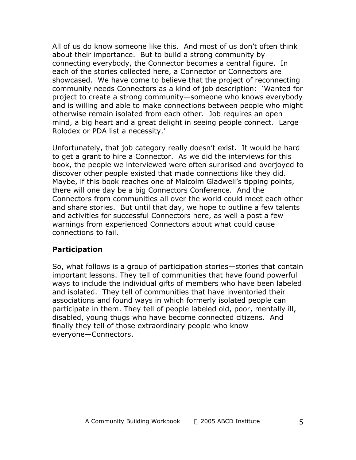All of us do know someone like this. And most of us don't often think about their importance. But to build a strong community by connecting everybody, the Connector becomes a central figure. In each of the stories collected here, a Connector or Connectors are showcased. We have come to believe that the project of reconnecting community needs Connectors as a kind of job description: 'Wanted for project to create a strong community—someone who knows everybody and is willing and able to make connections between people who might otherwise remain isolated from each other. Job requires an open mind, a big heart and a great delight in seeing people connect. Large Rolodex or PDA list a necessity.'

Unfortunately, that job category really doesn't exist. It would be hard to get a grant to hire a Connector. As we did the interviews for this book, the people we interviewed were often surprised and overjoyed to discover other people existed that made connections like they did. Maybe, if this book reaches one of Malcolm Gladwell's tipping points, there will one day be a big Connectors Conference. And the Connectors from communities all over the world could meet each other and share stories. But until that day, we hope to outline a few talents and activities for successful Connectors here, as well a post a few warnings from experienced Connectors about what could cause connections to fail.

### **Participation**

So, what follows is a group of participation stories—stories that contain important lessons. They tell of communities that have found powerful ways to include the individual gifts of members who have been labeled and isolated. They tell of communities that have inventoried their associations and found ways in which formerly isolated people can participate in them. They tell of people labeled old, poor, mentally ill, disabled, young thugs who have become connected citizens. And finally they tell of those extraordinary people who know everyone—Connectors.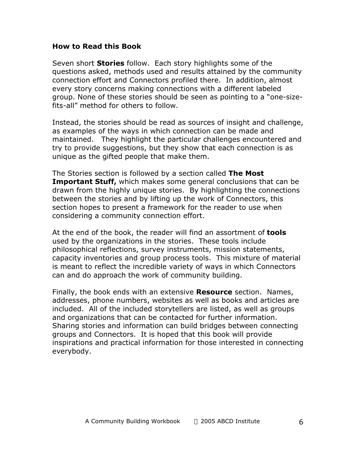#### **How to Read this Book**

Seven short **Stories** follow. Each story highlights some of the questions asked, methods used and results attained by the community connection effort and Connectors profiled there. In addition, almost every story concerns making connections with a different labeled group. None of these stories should be seen as pointing to a "one-sizefits-all" method for others to follow.

Instead, the stories should be read as sources of insight and challenge, as examples of the ways in which connection can be made and maintained. They highlight the particular challenges encountered and try to provide suggestions, but they show that each connection is as unique as the gifted people that make them.

The Stories section is followed by a section called **The Most Important Stuff,** which makes some general conclusions that can be drawn from the highly unique stories. By highlighting the connections between the stories and by lifting up the work of Connectors, this section hopes to present a framework for the reader to use when considering a community connection effort.

At the end of the book, the reader will find an assortment of **tools** used by the organizations in the stories. These tools include philosophical reflections, survey instruments, mission statements, capacity inventories and group process tools. This mixture of material is meant to reflect the incredible variety of ways in which Connectors can and do approach the work of community building.

Finally, the book ends with an extensive **Resource** section. Names, addresses, phone numbers, websites as well as books and articles are included. All of the included storytellers are listed, as well as groups and organizations that can be contacted for further information. Sharing stories and information can build bridges between connecting groups and Connectors. It is hoped that this book will provide inspirations and practical information for those interested in connecting everybody.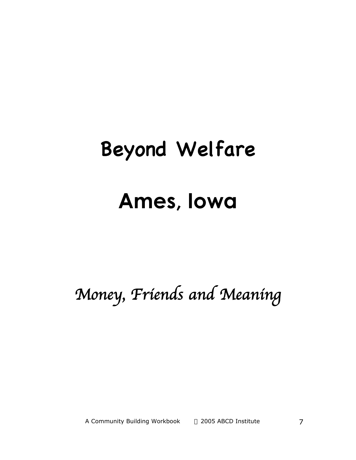# Beyond Welfare **Ames, Iowa**

# *Money, Friends and Meaning*

A Community Building Workbook @ 2005 ABCD Institute 7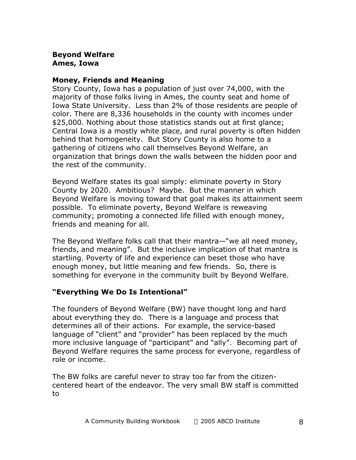### **Beyond Welfare Ames, Iowa**

### **Money, Friends and Meaning**

Story County, Iowa has a population of just over 74,000, with the majority of those folks living in Ames, the county seat and home of Iowa State University. Less than 2% of those residents are people of color. There are 8,336 households in the county with incomes under \$25,000. Nothing about those statistics stands out at first glance; Central Iowa is a mostly white place, and rural poverty is often hidden behind that homogeneity. But Story County is also home to a gathering of citizens who call themselves Beyond Welfare, an organization that brings down the walls between the hidden poor and the rest of the community.

Beyond Welfare states its goal simply: eliminate poverty in Story County by 2020. Ambitious? Maybe. But the manner in which Beyond Welfare is moving toward that goal makes its attainment seem possible. To eliminate poverty, Beyond Welfare is reweaving community; promoting a connected life filled with enough money, friends and meaning for all.

The Beyond Welfare folks call that their mantra—"we all need money, friends, and meaning". But the inclusive implication of that mantra is startling. Poverty of life and experience can beset those who have enough money, but little meaning and few friends. So, there is something for everyone in the community built by Beyond Welfare.

### **"Everything We Do Is Intentional"**

The founders of Beyond Welfare (BW) have thought long and hard about everything they do. There is a language and process that determines all of their actions. For example, the service-based language of "client" and "provider" has been replaced by the much more inclusive language of "participant" and "ally". Becoming part of Beyond Welfare requires the same process for everyone, regardless of role or income.

The BW folks are careful never to stray too far from the citizencentered heart of the endeavor. The very small BW staff is committed to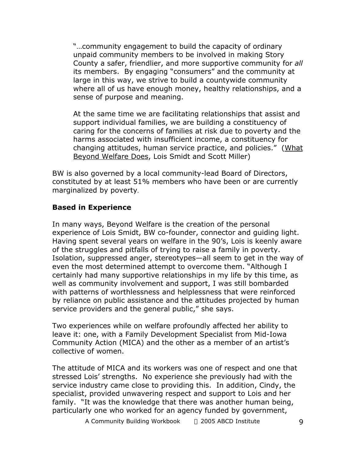"…community engagement to build the capacity of ordinary unpaid community members to be involved in making Story County a safer, friendlier, and more supportive community for *all* its members. By engaging "consumers" and the community at large in this way, we strive to build a countywide community where all of us have enough money, healthy relationships, and a sense of purpose and meaning.

At the same time we are facilitating relationships that assist and support individual families, we are building a constituency of caring for the concerns of families at risk due to poverty and the harms associated with insufficient income, a constituency for changing attitudes, human service practice, and policies." (What Beyond Welfare Does, Lois Smidt and Scott Miller)

BW is also governed by a local community-lead Board of Directors, constituted by at least 51% members who have been or are currently marginalized by poverty.

### **Based in Experience**

In many ways, Beyond Welfare is the creation of the personal experience of Lois Smidt, BW co-founder, connector and guiding light. Having spent several years on welfare in the 90's, Lois is keenly aware of the struggles and pitfalls of trying to raise a family in poverty. Isolation, suppressed anger, stereotypes—all seem to get in the way of even the most determined attempt to overcome them. "Although I certainly had many supportive relationships in my life by this time, as well as community involvement and support, I was still bombarded with patterns of worthlessness and helplessness that were reinforced by reliance on public assistance and the attitudes projected by human service providers and the general public," she says.

Two experiences while on welfare profoundly affected her ability to leave it: one, with a Family Development Specialist from Mid-Iowa Community Action (MICA) and the other as a member of an artist's collective of women.

The attitude of MICA and its workers was one of respect and one that stressed Lois' strengths. No experience she previously had with the service industry came close to providing this. In addition, Cindy, the specialist, provided unwavering respect and support to Lois and her family. "It was the knowledge that there was another human being, particularly one who worked for an agency funded by government,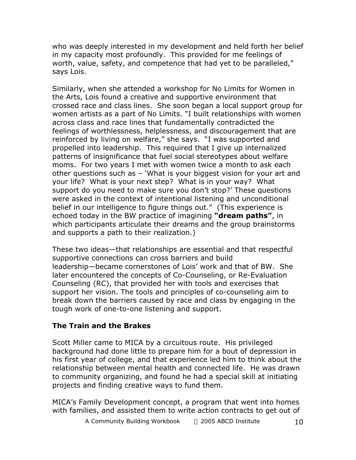who was deeply interested in my development and held forth her belief in my capacity most profoundly. This provided for me feelings of worth, value, safety, and competence that had yet to be paralleled," says Lois.

Similarly, when she attended a workshop for No Limits for Women in the Arts, Lois found a creative and supportive environment that crossed race and class lines. She soon began a local support group for women artists as a part of No Limits. "I built relationships with women across class and race lines that fundamentally contradicted the feelings of worthlessness, helplessness, and discouragement that are reinforced by living on welfare," she says. "I was supported and propelled into leadership. This required that I give up internalized patterns of insignificance that fuel social stereotypes about welfare moms. For two years I met with women twice a month to ask each other questions such as – 'What is your biggest vision for your art and your life? What is your next step? What is in your way? What support do you need to make sure you don't stop?' These questions were asked in the context of intentional listening and unconditional belief in our intelligence to figure things out." (This experience is echoed today in the BW practice of imagining **"dream paths"**, in which participants articulate their dreams and the group brainstorms and supports a path to their realization.)

These two ideas—that relationships are essential and that respectful supportive connections can cross barriers and build leadership—became cornerstones of Lois' work and that of BW. She later encountered the concepts of Co-Counseling, or Re-Evaluation Counseling (RC), that provided her with tools and exercises that support her vision. The tools and principles of co-counseling aim to break down the barriers caused by race and class by engaging in the tough work of one-to-one listening and support.

### **The Train and the Brakes**

Scott Miller came to MICA by a circuitous route. His privileged background had done little to prepare him for a bout of depression in his first year of college, and that experience led him to think about the relationship between mental health and connected life. He was drawn to community organizing, and found he had a special skill at initiating projects and finding creative ways to fund them.

MICA's Family Development concept, a program that went into homes with families, and assisted them to write action contracts to get out of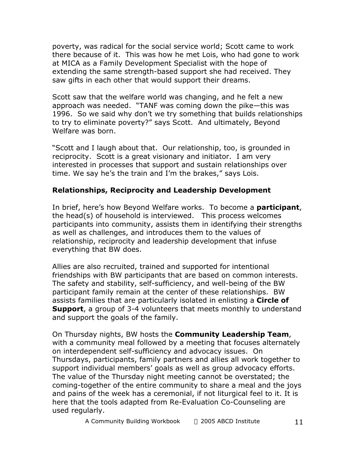poverty, was radical for the social service world; Scott came to work there because of it. This was how he met Lois, who had gone to work at MICA as a Family Development Specialist with the hope of extending the same strength-based support she had received. They saw gifts in each other that would support their dreams.

Scott saw that the welfare world was changing, and he felt a new approach was needed. "TANF was coming down the pike—this was 1996. So we said why don't we try something that builds relationships to try to eliminate poverty?" says Scott. And ultimately, Beyond Welfare was born.

"Scott and I laugh about that. Our relationship, too, is grounded in reciprocity. Scott is a great visionary and initiator. I am very interested in processes that support and sustain relationships over time. We say he's the train and I'm the brakes," says Lois.

### **Relationships, Reciprocity and Leadership Development**

In brief, here's how Beyond Welfare works. To become a **participant**, the head(s) of household is interviewed. This process welcomes participants into community, assists them in identifying their strengths as well as challenges, and introduces them to the values of relationship, reciprocity and leadership development that infuse everything that BW does.

Allies are also recruited, trained and supported for intentional friendships with BW participants that are based on common interests. The safety and stability, self-sufficiency, and well-being of the BW participant family remain at the center of these relationships. BW assists families that are particularly isolated in enlisting a **Circle of Support**, a group of 3-4 volunteers that meets monthly to understand and support the goals of the family.

On Thursday nights, BW hosts the **Community Leadership Team**, with a community meal followed by a meeting that focuses alternately on interdependent self-sufficiency and advocacy issues. On Thursdays, participants, family partners and allies all work together to support individual members' goals as well as group advocacy efforts. The value of the Thursday night meeting cannot be overstated; the coming-together of the entire community to share a meal and the joys and pains of the week has a ceremonial, if not liturgical feel to it. It is here that the tools adapted from Re-Evaluation Co-Counseling are used regularly.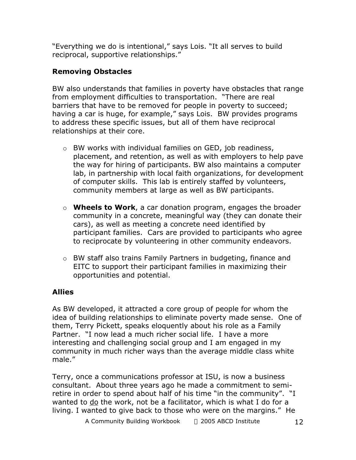"Everything we do is intentional," says Lois. "It all serves to build reciprocal, supportive relationships."

### **Removing Obstacles**

BW also understands that families in poverty have obstacles that range from employment difficulties to transportation. "There are real barriers that have to be removed for people in poverty to succeed; having a car is huge, for example," says Lois. BW provides programs to address these specific issues, but all of them have reciprocal relationships at their core.

- o BW works with individual families on GED, job readiness, placement, and retention, as well as with employers to help pave the way for hiring of participants. BW also maintains a computer lab, in partnership with local faith organizations, for development of computer skills. This lab is entirely staffed by volunteers, community members at large as well as BW participants.
- o **Wheels to Work**, a car donation program, engages the broader community in a concrete, meaningful way (they can donate their cars), as well as meeting a concrete need identified by participant families. Cars are provided to participants who agree to reciprocate by volunteering in other community endeavors.
- o BW staff also trains Family Partners in budgeting, finance and EITC to support their participant families in maximizing their opportunities and potential.

### **Allies**

As BW developed, it attracted a core group of people for whom the idea of building relationships to eliminate poverty made sense. One of them, Terry Pickett, speaks eloquently about his role as a Family Partner. "I now lead a much richer social life. I have a more interesting and challenging social group and I am engaged in my community in much richer ways than the average middle class white male."

Terry, once a communications professor at ISU, is now a business consultant. About three years ago he made a commitment to semiretire in order to spend about half of his time "in the community". "I wanted to do the work, not be a facilitator, which is what I do for a living. I wanted to give back to those who were on the margins." He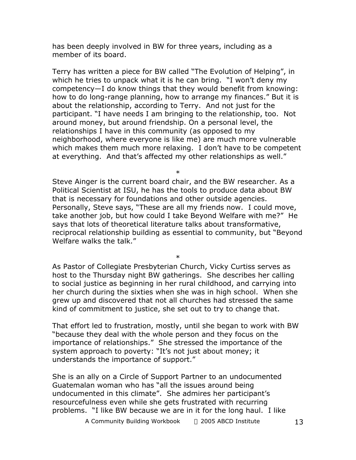has been deeply involved in BW for three years, including as a member of its board.

Terry has written a piece for BW called "The Evolution of Helping", in which he tries to unpack what it is he can bring. "I won't deny my competency—I do know things that they would benefit from knowing: how to do long-range planning, how to arrange my finances." But it is about the relationship, according to Terry. And not just for the participant. "I have needs I am bringing to the relationship, too. Not around money, but around friendship. On a personal level, the relationships I have in this community (as opposed to my neighborhood, where everyone is like me) are much more vulnerable which makes them much more relaxing. I don't have to be competent at everything. And that's affected my other relationships as well."

\* Steve Ainger is the current board chair, and the BW researcher. As a Political Scientist at ISU, he has the tools to produce data about BW that is necessary for foundations and other outside agencies. Personally, Steve says, "These are all my friends now. I could move, take another job, but how could I take Beyond Welfare with me?" He says that lots of theoretical literature talks about transformative, reciprocal relationship building as essential to community, but "Beyond Welfare walks the talk."

As Pastor of Collegiate Presbyterian Church, Vicky Curtiss serves as host to the Thursday night BW gatherings. She describes her calling to social justice as beginning in her rural childhood, and carrying into her church during the sixties when she was in high school. When she grew up and discovered that not all churches had stressed the same kind of commitment to justice, she set out to try to change that.

\*

That effort led to frustration, mostly, until she began to work with BW "because they deal with the whole person and they focus on the importance of relationships." She stressed the importance of the system approach to poverty: "It's not just about money; it understands the importance of support."

She is an ally on a Circle of Support Partner to an undocumented Guatemalan woman who has "all the issues around being undocumented in this climate". She admires her participant's resourcefulness even while she gets frustrated with recurring problems. "I like BW because we are in it for the long haul. I like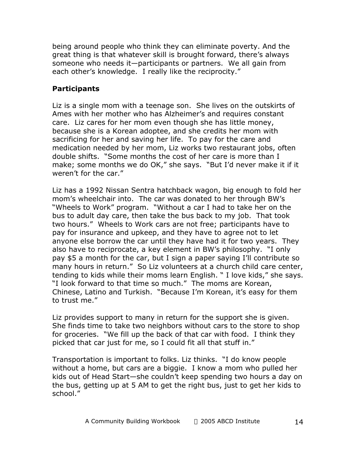being around people who think they can eliminate poverty. And the great thing is that whatever skill is brought forward, there's always someone who needs it—participants or partners. We all gain from each other's knowledge. I really like the reciprocity."

### **Participants**

Liz is a single mom with a teenage son. She lives on the outskirts of Ames with her mother who has Alzheimer's and requires constant care. Liz cares for her mom even though she has little money, because she is a Korean adoptee, and she credits her mom with sacrificing for her and saving her life. To pay for the care and medication needed by her mom, Liz works two restaurant jobs, often double shifts. "Some months the cost of her care is more than I make; some months we do OK," she says. "But I'd never make it if it weren't for the car."

Liz has a 1992 Nissan Sentra hatchback wagon, big enough to fold her mom's wheelchair into. The car was donated to her through BW's "Wheels to Work" program. "Without a car I had to take her on the bus to adult day care, then take the bus back to my job. That took two hours." Wheels to Work cars are not free; participants have to pay for insurance and upkeep, and they have to agree not to let anyone else borrow the car until they have had it for two years. They also have to reciprocate, a key element in BW's philosophy. "I only pay \$5 a month for the car, but I sign a paper saying I'll contribute so many hours in return." So Liz volunteers at a church child care center, tending to kids while their moms learn English. " I love kids," she says. "I look forward to that time so much." The moms are Korean, Chinese, Latino and Turkish. "Because I'm Korean, it's easy for them to trust me."

Liz provides support to many in return for the support she is given. She finds time to take two neighbors without cars to the store to shop for groceries. "We fill up the back of that car with food. I think they picked that car just for me, so I could fit all that stuff in."

Transportation is important to folks. Liz thinks. "I do know people without a home, but cars are a biggie. I know a mom who pulled her kids out of Head Start—she couldn't keep spending two hours a day on the bus, getting up at 5 AM to get the right bus, just to get her kids to school."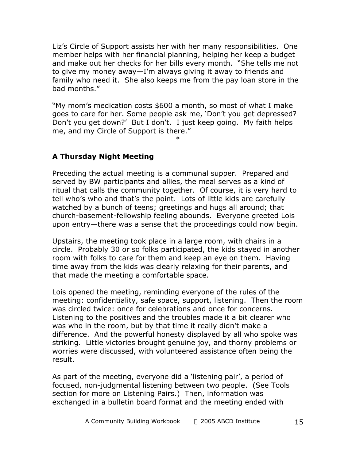Liz's Circle of Support assists her with her many responsibilities. One member helps with her financial planning, helping her keep a budget and make out her checks for her bills every month. "She tells me not to give my money away—I'm always giving it away to friends and family who need it. She also keeps me from the pay loan store in the bad months."

"My mom's medication costs \$600 a month, so most of what I make goes to care for her. Some people ask me, 'Don't you get depressed? Don't you get down?' But I don't. I just keep going. My faith helps me, and my Circle of Support is there."

\*

**A Thursday Night Meeting**

Preceding the actual meeting is a communal supper. Prepared and served by BW participants and allies, the meal serves as a kind of ritual that calls the community together. Of course, it is very hard to tell who's who and that's the point. Lots of little kids are carefully watched by a bunch of teens; greetings and hugs all around; that church-basement-fellowship feeling abounds. Everyone greeted Lois upon entry—there was a sense that the proceedings could now begin.

Upstairs, the meeting took place in a large room, with chairs in a circle. Probably 30 or so folks participated, the kids stayed in another room with folks to care for them and keep an eye on them. Having time away from the kids was clearly relaxing for their parents, and that made the meeting a comfortable space.

Lois opened the meeting, reminding everyone of the rules of the meeting: confidentiality, safe space, support, listening. Then the room was circled twice: once for celebrations and once for concerns. Listening to the positives and the troubles made it a bit clearer who was who in the room, but by that time it really didn't make a difference. And the powerful honesty displayed by all who spoke was striking. Little victories brought genuine joy, and thorny problems or worries were discussed, with volunteered assistance often being the result.

As part of the meeting, everyone did a 'listening pair', a period of focused, non-judgmental listening between two people. (See Tools section for more on Listening Pairs.) Then, information was exchanged in a bulletin board format and the meeting ended with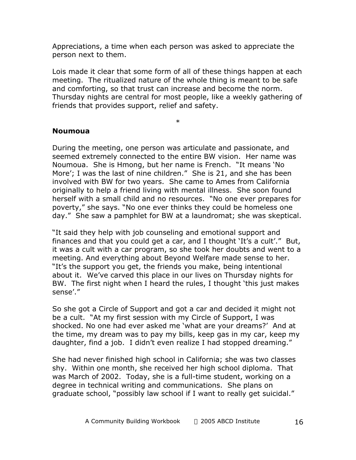Appreciations, a time when each person was asked to appreciate the person next to them.

Lois made it clear that some form of all of these things happen at each meeting. The ritualized nature of the whole thing is meant to be safe and comforting, so that trust can increase and become the norm. Thursday nights are central for most people, like a weekly gathering of friends that provides support, relief and safety.

\*

### **Noumoua**

During the meeting, one person was articulate and passionate, and seemed extremely connected to the entire BW vision. Her name was Noumoua. She is Hmong, but her name is French. "It means 'No More'; I was the last of nine children." She is 21, and she has been involved with BW for two years. She came to Ames from California originally to help a friend living with mental illness. She soon found herself with a small child and no resources. "No one ever prepares for poverty," she says. "No one ever thinks they could be homeless one day." She saw a pamphlet for BW at a laundromat; she was skeptical.

"It said they help with job counseling and emotional support and finances and that you could get a car, and I thought 'It's a cult'." But, it was a cult with a car program, so she took her doubts and went to a meeting. And everything about Beyond Welfare made sense to her. "It's the support you get, the friends you make, being intentional about it. We've carved this place in our lives on Thursday nights for BW. The first night when I heard the rules, I thought 'this just makes sense'."

So she got a Circle of Support and got a car and decided it might not be a cult. "At my first session with my Circle of Support, I was shocked. No one had ever asked me 'what are your dreams?' And at the time, my dream was to pay my bills, keep gas in my car, keep my daughter, find a job. I didn't even realize I had stopped dreaming."

She had never finished high school in California; she was two classes shy. Within one month, she received her high school diploma. That was March of 2002. Today, she is a full-time student, working on a degree in technical writing and communications. She plans on graduate school, "possibly law school if I want to really get suicidal."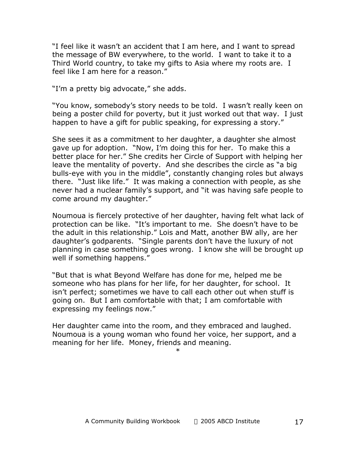"I feel like it wasn't an accident that I am here, and I want to spread the message of BW everywhere, to the world. I want to take it to a Third World country, to take my gifts to Asia where my roots are. I feel like I am here for a reason."

"I'm a pretty big advocate," she adds.

"You know, somebody's story needs to be told. I wasn't really keen on being a poster child for poverty, but it just worked out that way. I just happen to have a gift for public speaking, for expressing a story."

She sees it as a commitment to her daughter, a daughter she almost gave up for adoption. "Now, I'm doing this for her. To make this a better place for her." She credits her Circle of Support with helping her leave the mentality of poverty. And she describes the circle as "a big bulls-eye with you in the middle", constantly changing roles but always there. "Just like life." It was making a connection with people, as she never had a nuclear family's support, and "it was having safe people to come around my daughter."

Noumoua is fiercely protective of her daughter, having felt what lack of protection can be like. "It's important to me. She doesn't have to be the adult in this relationship." Lois and Matt, another BW ally, are her daughter's godparents. "Single parents don't have the luxury of not planning in case something goes wrong. I know she will be brought up well if something happens."

"But that is what Beyond Welfare has done for me, helped me be someone who has plans for her life, for her daughter, for school. It isn't perfect; sometimes we have to call each other out when stuff is going on. But I am comfortable with that; I am comfortable with expressing my feelings now."

Her daughter came into the room, and they embraced and laughed. Noumoua is a young woman who found her voice, her support, and a meaning for her life. Money, friends and meaning.

\*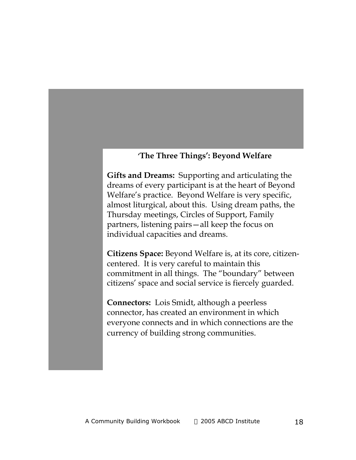### **'The Three Things': Beyond Welfare**

**Gifts and Dreams:** Supporting and articulating the dreams of every participant is at the heart of Beyond Welfare's practice. Beyond Welfare is very specific, almost liturgical, about this. Using dream paths, the Thursday meetings, Circles of Support, Family partners, listening pairs—all keep the focus on individual capacities and dreams.

**Citizens Space:** Beyond Welfare is, at its core, citizencentered. It is very careful to maintain this commitment in all things. The "boundary" between citizens' space and social service is fiercely guarded.

**Connectors:** Lois Smidt, although a peerless connector, has created an environment in which everyone connects and in which connections are the currency of building strong communities.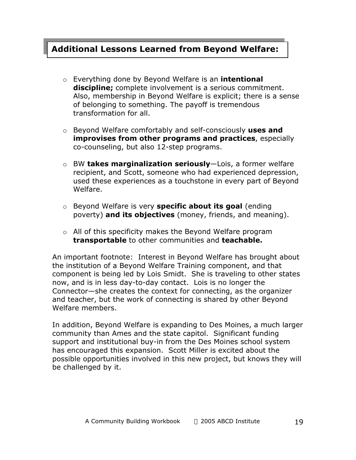### **Additional Lessons Learned from Beyond Welfare:**

- o Everything done by Beyond Welfare is an **intentional discipline;** complete involvement is a serious commitment. Also, membership in Beyond Welfare is explicit; there is a sense of belonging to something. The payoff is tremendous transformation for all.
- o Beyond Welfare comfortably and self-consciously **uses and improvises from other programs and practices**, especially co-counseling, but also 12-step programs.
- o BW **takes marginalization seriously**—Lois, a former welfare recipient, and Scott, someone who had experienced depression, used these experiences as a touchstone in every part of Beyond Welfare.
- o Beyond Welfare is very **specific about its goal** (ending poverty) **and its objectives** (money, friends, and meaning).
- o All of this specificity makes the Beyond Welfare program **transportable** to other communities and **teachable.**

An important footnote: Interest in Beyond Welfare has brought about the institution of a Beyond Welfare Training component, and that component is being led by Lois Smidt. She is traveling to other states now, and is in less day-to-day contact. Lois is no longer the Connector—she creates the context for connecting, as the organizer and teacher, but the work of connecting is shared by other Beyond Welfare members.

In addition, Beyond Welfare is expanding to Des Moines, a much larger community than Ames and the state capitol. Significant funding support and institutional buy-in from the Des Moines school system has encouraged this expansion. Scott Miller is excited about the possible opportunities involved in this new project, but knows they will be challenged by it.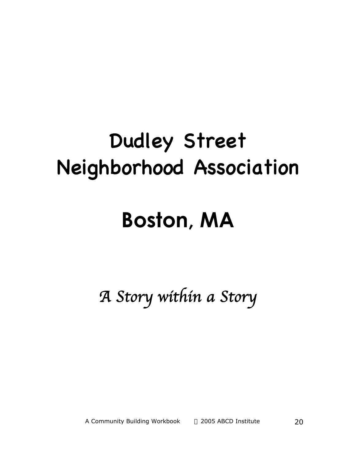### Dudley Street Neighborhood Association

### **Boston, MA**

*A Story within a Story*

A Community Building Workbook @ 2005 ABCD Institute 20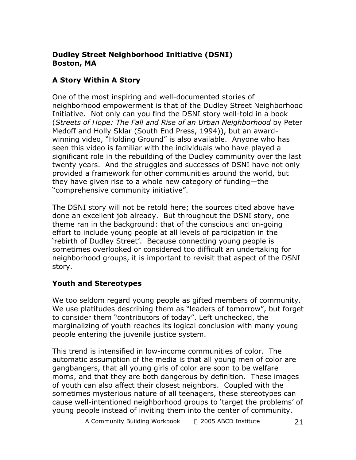### **Dudley Street Neighborhood Initiative (DSNI) Boston, MA**

### **A Story Within A Story**

One of the most inspiring and well-documented stories of neighborhood empowerment is that of the Dudley Street Neighborhood Initiative. Not only can you find the DSNI story well-told in a book (*Streets of Hope: The Fall and Rise of an Urban Neighborhood* by Peter Medoff and Holly Sklar (South End Press, 1994)), but an awardwinning video, "Holding Ground" is also available. Anyone who has seen this video is familiar with the individuals who have played a significant role in the rebuilding of the Dudley community over the last twenty years. And the struggles and successes of DSNI have not only provided a framework for other communities around the world, but they have given rise to a whole new category of funding—the "comprehensive community initiative".

The DSNI story will not be retold here; the sources cited above have done an excellent job already. But throughout the DSNI story, one theme ran in the background: that of the conscious and on-going effort to include young people at all levels of participation in the 'rebirth of Dudley Street'. Because connecting young people is sometimes overlooked or considered too difficult an undertaking for neighborhood groups, it is important to revisit that aspect of the DSNI story.

### **Youth and Stereotypes**

We too seldom regard young people as gifted members of community. We use platitudes describing them as "leaders of tomorrow", but forget to consider them "contributors of today". Left unchecked, the marginalizing of youth reaches its logical conclusion with many young people entering the juvenile justice system.

This trend is intensified in low-income communities of color. The automatic assumption of the media is that all young men of color are gangbangers, that all young girls of color are soon to be welfare moms, and that they are both dangerous by definition. These images of youth can also affect their closest neighbors. Coupled with the sometimes mysterious nature of all teenagers, these stereotypes can cause well-intentioned neighborhood groups to 'target the problems' of young people instead of inviting them into the center of community.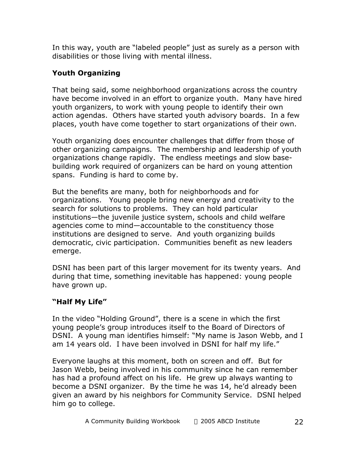In this way, youth are "labeled people" just as surely as a person with disabilities or those living with mental illness.

### **Youth Organizing**

That being said, some neighborhood organizations across the country have become involved in an effort to organize youth. Many have hired youth organizers, to work with young people to identify their own action agendas. Others have started youth advisory boards. In a few places, youth have come together to start organizations of their own.

Youth organizing does encounter challenges that differ from those of other organizing campaigns. The membership and leadership of youth organizations change rapidly. The endless meetings and slow basebuilding work required of organizers can be hard on young attention spans. Funding is hard to come by.

But the benefits are many, both for neighborhoods and for organizations. Young people bring new energy and creativity to the search for solutions to problems. They can hold particular institutions—the juvenile justice system, schools and child welfare agencies come to mind—accountable to the constituency those institutions are designed to serve. And youth organizing builds democratic, civic participation. Communities benefit as new leaders emerge.

DSNI has been part of this larger movement for its twenty years. And during that time, something inevitable has happened: young people have grown up.

### **"Half My Life"**

In the video "Holding Ground", there is a scene in which the first young people's group introduces itself to the Board of Directors of DSNI. A young man identifies himself: "My name is Jason Webb, and I am 14 years old. I have been involved in DSNI for half my life."

Everyone laughs at this moment, both on screen and off. But for Jason Webb, being involved in his community since he can remember has had a profound affect on his life. He grew up always wanting to become a DSNI organizer. By the time he was 14, he'd already been given an award by his neighbors for Community Service. DSNI helped him go to college.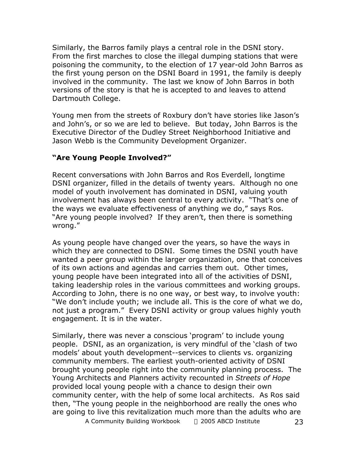Similarly, the Barros family plays a central role in the DSNI story. From the first marches to close the illegal dumping stations that were poisoning the community, to the election of 17 year-old John Barros as the first young person on the DSNI Board in 1991, the family is deeply involved in the community. The last we know of John Barros in both versions of the story is that he is accepted to and leaves to attend Dartmouth College.

Young men from the streets of Roxbury don't have stories like Jason's and John's, or so we are led to believe. But today, John Barros is the Executive Director of the Dudley Street Neighborhood Initiative and Jason Webb is the Community Development Organizer.

#### **"Are Young People Involved?"**

Recent conversations with John Barros and Ros Everdell, longtime DSNI organizer, filled in the details of twenty years. Although no one model of youth involvement has dominated in DSNI, valuing youth involvement has always been central to every activity. "That's one of the ways we evaluate effectiveness of anything we do," says Ros. "Are young people involved? If they aren't, then there is something wrong."

As young people have changed over the years, so have the ways in which they are connected to DSNI. Some times the DSNI youth have wanted a peer group within the larger organization, one that conceives of its own actions and agendas and carries them out. Other times, young people have been integrated into all of the activities of DSNI, taking leadership roles in the various committees and working groups. According to John, there is no one way, or best way, to involve youth: "We don't include youth; we include all. This is the core of what we do, not just a program." Every DSNI activity or group values highly youth engagement. It is in the water.

Similarly, there was never a conscious 'program' to include young people. DSNI, as an organization, is very mindful of the 'clash of two models' about youth development--services to clients vs. organizing community members. The earliest youth-oriented activity of DSNI brought young people right into the community planning process. The Young Architects and Planners activity recounted in *Streets of Hope* provided local young people with a chance to design their own community center, with the help of some local architects. As Ros said then, "The young people in the neighborhood are really the ones who are going to live this revitalization much more than the adults who are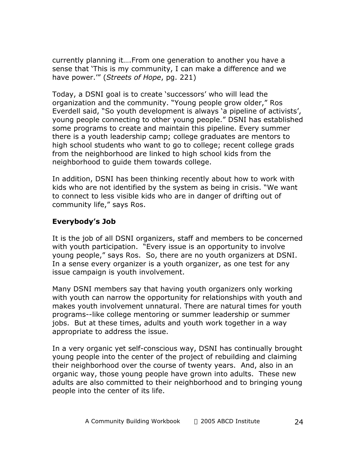currently planning it….From one generation to another you have a sense that 'This is my community, I can make a difference and we have power.'" (*Streets of Hope*, pg. 221)

Today, a DSNI goal is to create 'successors' who will lead the organization and the community. "Young people grow older," Ros Everdell said, "So youth development is always 'a pipeline of activists', young people connecting to other young people." DSNI has established some programs to create and maintain this pipeline. Every summer there is a youth leadership camp; college graduates are mentors to high school students who want to go to college; recent college grads from the neighborhood are linked to high school kids from the neighborhood to guide them towards college.

In addition, DSNI has been thinking recently about how to work with kids who are not identified by the system as being in crisis. "We want to connect to less visible kids who are in danger of drifting out of community life," says Ros.

### **Everybody's Job**

It is the job of all DSNI organizers, staff and members to be concerned with youth participation. "Every issue is an opportunity to involve young people," says Ros. So, there are no youth organizers at DSNI. In a sense every organizer is a youth organizer, as one test for any issue campaign is youth involvement.

Many DSNI members say that having youth organizers only working with youth can narrow the opportunity for relationships with youth and makes youth involvement unnatural. There are natural times for youth programs--like college mentoring or summer leadership or summer jobs. But at these times, adults and youth work together in a way appropriate to address the issue.

In a very organic yet self-conscious way, DSNI has continually brought young people into the center of the project of rebuilding and claiming their neighborhood over the course of twenty years. And, also in an organic way, those young people have grown into adults. These new adults are also committed to their neighborhood and to bringing young people into the center of its life.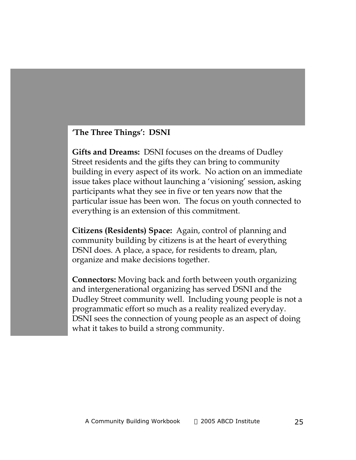### **'The Three Things': DSNI**

**Gifts and Dreams:** DSNI focuses on the dreams of Dudley Street residents and the gifts they can bring to community building in every aspect of its work. No action on an immediate issue takes place without launching a 'visioning' session, asking participants what they see in five or ten years now that the particular issue has been won. The focus on youth connected to everything is an extension of this commitment.

**Citizens (Residents) Space:** Again, control of planning and community building by citizens is at the heart of everything DSNI does. A place, a space, for residents to dream, plan, organize and make decisions together.

**Connectors:** Moving back and forth between youth organizing and intergenerational organizing has served DSNI and the Dudley Street community well. Including young people is not a programmatic effort so much as a reality realized everyday. DSNI sees the connection of young people as an aspect of doing what it takes to build a strong community.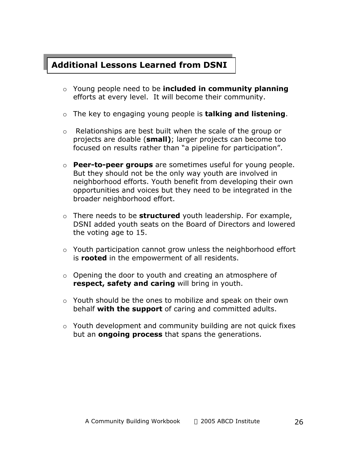### **Additional Lessons Learned from DSNI**

- o Young people need to be **included in community planning** efforts at every level. It will become their community.
- o The key to engaging young people is **talking and listening**.
- o Relationships are best built when the scale of the group or projects are doable (**small)**; larger projects can become too focused on results rather than "a pipeline for participation".
- o **Peer-to-peer groups** are sometimes useful for young people. But they should not be the only way youth are involved in neighborhood efforts. Youth benefit from developing their own opportunities and voices but they need to be integrated in the broader neighborhood effort.
- o There needs to be **structured** youth leadership. For example, DSNI added youth seats on the Board of Directors and lowered the voting age to 15.
- o Youth participation cannot grow unless the neighborhood effort is **rooted** in the empowerment of all residents.
- o Opening the door to youth and creating an atmosphere of **respect, safety and caring** will bring in youth.
- o Youth should be the ones to mobilize and speak on their own behalf **with the support** of caring and committed adults.
- o Youth development and community building are not quick fixes but an **ongoing process** that spans the generations.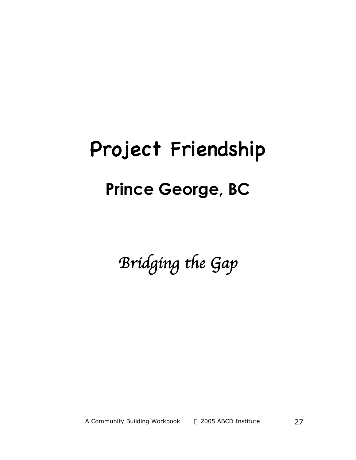## Project Friendship **Prince George, BC**

*Bridging the Gap*

A Community Building Workbook @ 2005 ABCD Institute 27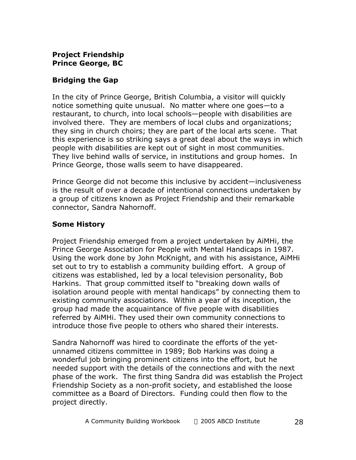### **Project Friendship Prince George, BC**

### **Bridging the Gap**

In the city of Prince George, British Columbia, a visitor will quickly notice something quite unusual. No matter where one goes—to a restaurant, to church, into local schools—people with disabilities are involved there. They are members of local clubs and organizations; they sing in church choirs; they are part of the local arts scene. That this experience is so striking says a great deal about the ways in which people with disabilities are kept out of sight in most communities. They live behind walls of service, in institutions and group homes. In Prince George, those walls seem to have disappeared.

Prince George did not become this inclusive by accident—inclusiveness is the result of over a decade of intentional connections undertaken by a group of citizens known as Project Friendship and their remarkable connector, Sandra Nahornoff.

### **Some History**

Project Friendship emerged from a project undertaken by AiMHi, the Prince George Association for People with Mental Handicaps in 1987. Using the work done by John McKnight, and with his assistance, AiMHi set out to try to establish a community building effort. A group of citizens was established, led by a local television personality, Bob Harkins. That group committed itself to "breaking down walls of isolation around people with mental handicaps" by connecting them to existing community associations. Within a year of its inception, the group had made the acquaintance of five people with disabilities referred by AiMHi. They used their own community connections to introduce those five people to others who shared their interests.

Sandra Nahornoff was hired to coordinate the efforts of the yetunnamed citizens committee in 1989; Bob Harkins was doing a wonderful job bringing prominent citizens into the effort, but he needed support with the details of the connections and with the next phase of the work. The first thing Sandra did was establish the Project Friendship Society as a non-profit society, and established the loose committee as a Board of Directors. Funding could then flow to the project directly.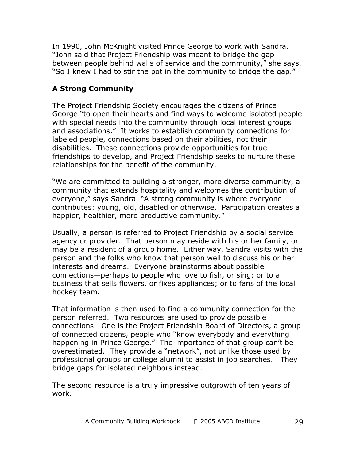In 1990, John McKnight visited Prince George to work with Sandra. "John said that Project Friendship was meant to bridge the gap between people behind walls of service and the community," she says. "So I knew I had to stir the pot in the community to bridge the gap."

### **A Strong Community**

The Project Friendship Society encourages the citizens of Prince George "to open their hearts and find ways to welcome isolated people with special needs into the community through local interest groups and associations." It works to establish community connections for labeled people, connections based on their abilities, not their disabilities. These connections provide opportunities for true friendships to develop, and Project Friendship seeks to nurture these relationships for the benefit of the community.

"We are committed to building a stronger, more diverse community, a community that extends hospitality and welcomes the contribution of everyone," says Sandra. "A strong community is where everyone contributes: young, old, disabled or otherwise. Participation creates a happier, healthier, more productive community."

Usually, a person is referred to Project Friendship by a social service agency or provider. That person may reside with his or her family, or may be a resident of a group home. Either way, Sandra visits with the person and the folks who know that person well to discuss his or her interests and dreams. Everyone brainstorms about possible connections—perhaps to people who love to fish, or sing; or to a business that sells flowers, or fixes appliances; or to fans of the local hockey team.

That information is then used to find a community connection for the person referred. Two resources are used to provide possible connections. One is the Project Friendship Board of Directors, a group of connected citizens, people who "know everybody and everything happening in Prince George." The importance of that group can't be overestimated. They provide a "network", not unlike those used by professional groups or college alumni to assist in job searches. They bridge gaps for isolated neighbors instead.

The second resource is a truly impressive outgrowth of ten years of work.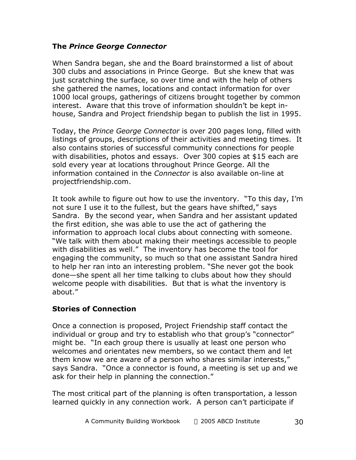### **The** *Prince George Connector*

When Sandra began, she and the Board brainstormed a list of about 300 clubs and associations in Prince George. But she knew that was just scratching the surface, so over time and with the help of others she gathered the names, locations and contact information for over 1000 local groups, gatherings of citizens brought together by common interest. Aware that this trove of information shouldn't be kept inhouse, Sandra and Project friendship began to publish the list in 1995.

Today, the *Prince George Connector* is over 200 pages long, filled with listings of groups, descriptions of their activities and meeting times. It also contains stories of successful community connections for people with disabilities, photos and essays. Over 300 copies at \$15 each are sold every year at locations throughout Prince George. All the information contained in the *Connector* is also available on-line at projectfriendship.com.

It took awhile to figure out how to use the inventory. "To this day, I'm not sure I use it to the fullest, but the gears have shifted," says Sandra. By the second year, when Sandra and her assistant updated the first edition, she was able to use the act of gathering the information to approach local clubs about connecting with someone. "We talk with them about making their meetings accessible to people with disabilities as well." The inventory has become the tool for engaging the community, so much so that one assistant Sandra hired to help her ran into an interesting problem. "She never got the book done—she spent all her time talking to clubs about how they should welcome people with disabilities. But that is what the inventory is about."

#### **Stories of Connection**

Once a connection is proposed, Project Friendship staff contact the individual or group and try to establish who that group's "connector" might be. "In each group there is usually at least one person who welcomes and orientates new members, so we contact them and let them know we are aware of a person who shares similar interests," says Sandra. "Once a connector is found, a meeting is set up and we ask for their help in planning the connection."

The most critical part of the planning is often transportation, a lesson learned quickly in any connection work. A person can't participate if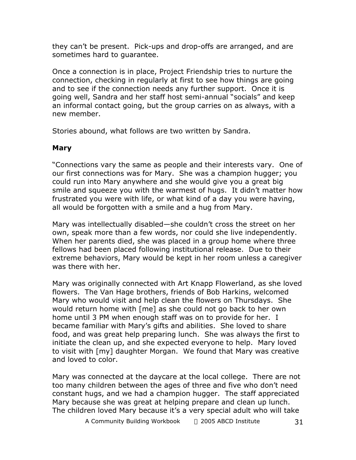they can't be present. Pick-ups and drop-offs are arranged, and are sometimes hard to guarantee.

Once a connection is in place, Project Friendship tries to nurture the connection, checking in regularly at first to see how things are going and to see if the connection needs any further support. Once it is going well, Sandra and her staff host semi-annual "socials" and keep an informal contact going, but the group carries on as always, with a new member.

Stories abound, what follows are two written by Sandra.

### **Mary**

"Connections vary the same as people and their interests vary. One of our first connections was for Mary. She was a champion hugger; you could run into Mary anywhere and she would give you a great big smile and squeeze you with the warmest of hugs. It didn't matter how frustrated you were with life, or what kind of a day you were having, all would be forgotten with a smile and a hug from Mary.

Mary was intellectually disabled—she couldn't cross the street on her own, speak more than a few words, nor could she live independently. When her parents died, she was placed in a group home where three fellows had been placed following institutional release. Due to their extreme behaviors, Mary would be kept in her room unless a caregiver was there with her.

Mary was originally connected with Art Knapp Flowerland, as she loved flowers. The Van Hage brothers, friends of Bob Harkins, welcomed Mary who would visit and help clean the flowers on Thursdays. She would return home with [me] as she could not go back to her own home until 3 PM when enough staff was on to provide for her. I became familiar with Mary's gifts and abilities. She loved to share food, and was great help preparing lunch. She was always the first to initiate the clean up, and she expected everyone to help. Mary loved to visit with [my] daughter Morgan. We found that Mary was creative and loved to color.

Mary was connected at the daycare at the local college. There are not too many children between the ages of three and five who don't need constant hugs, and we had a champion hugger. The staff appreciated Mary because she was great at helping prepare and clean up lunch. The children loved Mary because it's a very special adult who will take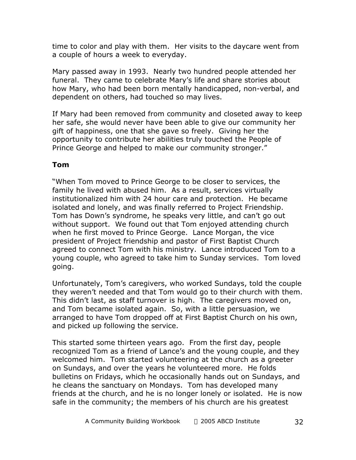time to color and play with them. Her visits to the daycare went from a couple of hours a week to everyday.

Mary passed away in 1993. Nearly two hundred people attended her funeral. They came to celebrate Mary's life and share stories about how Mary, who had been born mentally handicapped, non-verbal, and dependent on others, had touched so may lives.

If Mary had been removed from community and closeted away to keep her safe, she would never have been able to give our community her gift of happiness, one that she gave so freely. Giving her the opportunity to contribute her abilities truly touched the People of Prince George and helped to make our community stronger."

### **Tom**

"When Tom moved to Prince George to be closer to services, the family he lived with abused him. As a result, services virtually institutionalized him with 24 hour care and protection. He became isolated and lonely, and was finally referred to Project Friendship. Tom has Down's syndrome, he speaks very little, and can't go out without support. We found out that Tom enjoyed attending church when he first moved to Prince George. Lance Morgan, the vice president of Project friendship and pastor of First Baptist Church agreed to connect Tom with his ministry. Lance introduced Tom to a young couple, who agreed to take him to Sunday services. Tom loved going.

Unfortunately, Tom's caregivers, who worked Sundays, told the couple they weren't needed and that Tom would go to their church with them. This didn't last, as staff turnover is high. The caregivers moved on, and Tom became isolated again. So, with a little persuasion, we arranged to have Tom dropped off at First Baptist Church on his own, and picked up following the service.

This started some thirteen years ago. From the first day, people recognized Tom as a friend of Lance's and the young couple, and they welcomed him. Tom started volunteering at the church as a greeter on Sundays, and over the years he volunteered more. He folds bulletins on Fridays, which he occasionally hands out on Sundays, and he cleans the sanctuary on Mondays. Tom has developed many friends at the church, and he is no longer lonely or isolated. He is now safe in the community; the members of his church are his greatest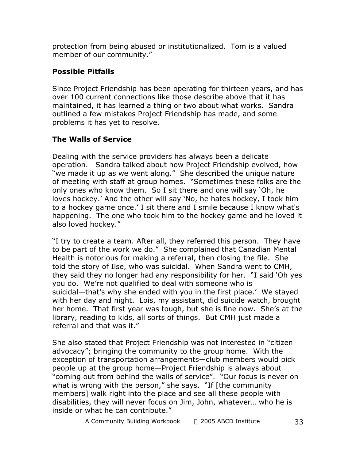protection from being abused or institutionalized. Tom is a valued member of our community."

### **Possible Pitfalls**

Since Project Friendship has been operating for thirteen years, and has over 100 current connections like those describe above that it has maintained, it has learned a thing or two about what works. Sandra outlined a few mistakes Project Friendship has made, and some problems it has yet to resolve.

### **The Walls of Service**

Dealing with the service providers has always been a delicate operation. Sandra talked about how Project Friendship evolved, how "we made it up as we went along." She described the unique nature of meeting with staff at group homes. "Sometimes these folks are the only ones who know them. So I sit there and one will say 'Oh, he loves hockey.' And the other will say 'No, he hates hockey, I took him to a hockey game once.' I sit there and I smile because I know what's happening. The one who took him to the hockey game and he loved it also loved hockey."

"I try to create a team. After all, they referred this person. They have to be part of the work we do." She complained that Canadian Mental Health is notorious for making a referral, then closing the file. She told the story of Ilse, who was suicidal. When Sandra went to CMH, they said they no longer had any responsibility for her. "I said 'Oh yes you do. We're not qualified to deal with someone who is suicidal—that's why she ended with you in the first place.' We stayed with her day and night. Lois, my assistant, did suicide watch, brought her home. That first year was tough, but she is fine now. She's at the library, reading to kids, all sorts of things. But CMH just made a referral and that was it."

She also stated that Project Friendship was not interested in "citizen advocacy"; bringing the community to the group home. With the exception of transportation arrangements—club members would pick people up at the group home—Project Friendship is always about "coming out from behind the walls of service". "Our focus is never on what is wrong with the person," she says. "If [the community members] walk right into the place and see all these people with disabilities, they will never focus on Jim, John, whatever… who he is inside or what he can contribute."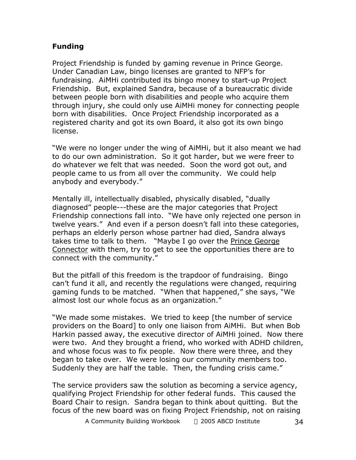## **Funding**

Project Friendship is funded by gaming revenue in Prince George. Under Canadian Law, bingo licenses are granted to NFP's for fundraising. AiMHi contributed its bingo money to start-up Project Friendship. But, explained Sandra, because of a bureaucratic divide between people born with disabilities and people who acquire them through injury, she could only use AiMHi money for connecting people born with disabilities. Once Project Friendship incorporated as a registered charity and got its own Board, it also got its own bingo license.

"We were no longer under the wing of AiMHi, but it also meant we had to do our own administration. So it got harder, but we were freer to do whatever we felt that was needed. Soon the word got out, and people came to us from all over the community. We could help anybody and everybody."

Mentally ill, intellectually disabled, physically disabled, "dually diagnosed" people---these are the major categories that Project Friendship connections fall into. "We have only rejected one person in twelve years." And even if a person doesn't fall into these categories, perhaps an elderly person whose partner had died, Sandra always takes time to talk to them. "Maybe I go over the Prince George Connector with them, try to get to see the opportunities there are to connect with the community."

But the pitfall of this freedom is the trapdoor of fundraising. Bingo can't fund it all, and recently the regulations were changed, requiring gaming funds to be matched. "When that happened," she says, "We almost lost our whole focus as an organization."

"We made some mistakes. We tried to keep [the number of service providers on the Board] to only one liaison from AiMHi. But when Bob Harkin passed away, the executive director of AiMHi joined. Now there were two. And they brought a friend, who worked with ADHD children, and whose focus was to fix people. Now there were three, and they began to take over. We were losing our community members too. Suddenly they are half the table. Then, the funding crisis came."

The service providers saw the solution as becoming a service agency, qualifying Project Friendship for other federal funds. This caused the Board Chair to resign. Sandra began to think about quitting. But the focus of the new board was on fixing Project Friendship, not on raising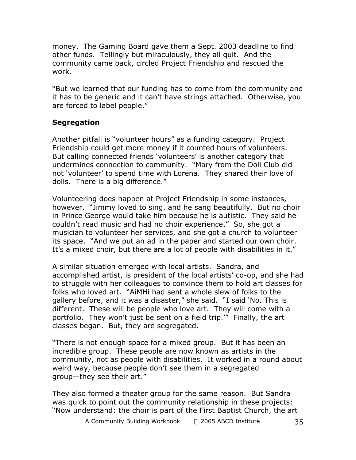money. The Gaming Board gave them a Sept. 2003 deadline to find other funds. Tellingly but miraculously, they all quit. And the community came back, circled Project Friendship and rescued the work.

"But we learned that our funding has to come from the community and it has to be generic and it can't have strings attached. Otherwise, you are forced to label people."

## **Segregation**

Another pitfall is "volunteer hours" as a funding category. Project Friendship could get more money if it counted hours of volunteers. But calling connected friends 'volunteers' is another category that undermines connection to community. "Mary from the Doll Club did not 'volunteer' to spend time with Lorena. They shared their love of dolls. There is a big difference."

Volunteering does happen at Project Friendship in some instances, however. "Jimmy loved to sing, and he sang beautifully. But no choir in Prince George would take him because he is autistic. They said he couldn't read music and had no choir experience." So, she got a musician to volunteer her services, and she got a church to volunteer its space. "And we put an ad in the paper and started our own choir. It's a mixed choir, but there are a lot of people with disabilities in it."

A similar situation emerged with local artists. Sandra, and accomplished artist, is president of the local artists' co-op, and she had to struggle with her colleagues to convince them to hold art classes for folks who loved art. "AiMHi had sent a whole slew of folks to the gallery before, and it was a disaster," she said. "I said 'No. This is different. These will be people who love art. They will come with a portfolio. They won't just be sent on a field trip.'" Finally, the art classes began. But, they are segregated.

"There is not enough space for a mixed group. But it has been an incredible group. These people are now known as artists in the community, not as people with disabilities. It worked in a round about weird way, because people don't see them in a segregated group—they see their art."

They also formed a theater group for the same reason. But Sandra was quick to point out the community relationship in these projects: "Now understand: the choir is part of the First Baptist Church, the art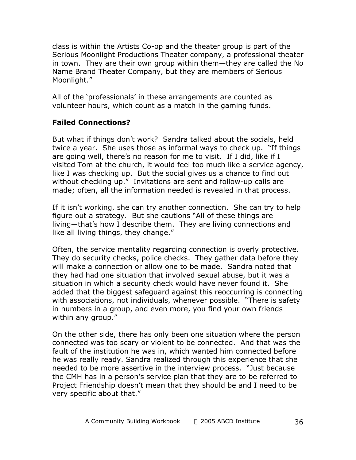class is within the Artists Co-op and the theater group is part of the Serious Moonlight Productions Theater company, a professional theater in town. They are their own group within them—they are called the No Name Brand Theater Company, but they are members of Serious Moonlight."

All of the 'professionals' in these arrangements are counted as volunteer hours, which count as a match in the gaming funds.

## **Failed Connections?**

But what if things don't work? Sandra talked about the socials, held twice a year. She uses those as informal ways to check up. "If things are going well, there's no reason for me to visit. If I did, like if I visited Tom at the church, it would feel too much like a service agency, like I was checking up. But the social gives us a chance to find out without checking up." Invitations are sent and follow-up calls are made; often, all the information needed is revealed in that process.

If it isn't working, she can try another connection. She can try to help figure out a strategy. But she cautions "All of these things are living—that's how I describe them. They are living connections and like all living things, they change."

Often, the service mentality regarding connection is overly protective. They do security checks, police checks. They gather data before they will make a connection or allow one to be made. Sandra noted that they had had one situation that involved sexual abuse, but it was a situation in which a security check would have never found it. She added that the biggest safeguard against this reoccurring is connecting with associations, not individuals, whenever possible. "There is safety in numbers in a group, and even more, you find your own friends within any group."

On the other side, there has only been one situation where the person connected was too scary or violent to be connected. And that was the fault of the institution he was in, which wanted him connected before he was really ready. Sandra realized through this experience that she needed to be more assertive in the interview process. "Just because the CMH has in a person's service plan that they are to be referred to Project Friendship doesn't mean that they should be and I need to be very specific about that."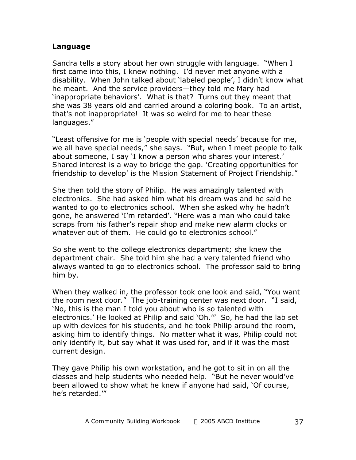#### **Language**

Sandra tells a story about her own struggle with language. "When I first came into this, I knew nothing. I'd never met anyone with a disability. When John talked about 'labeled people', I didn't know what he meant. And the service providers—they told me Mary had 'inappropriate behaviors'. What is that? Turns out they meant that she was 38 years old and carried around a coloring book. To an artist, that's not inappropriate! It was so weird for me to hear these languages."

"Least offensive for me is 'people with special needs' because for me, we all have special needs," she says. "But, when I meet people to talk about someone, I say 'I know a person who shares your interest.' Shared interest is a way to bridge the gap. 'Creating opportunities for friendship to develop' is the Mission Statement of Project Friendship."

She then told the story of Philip. He was amazingly talented with electronics. She had asked him what his dream was and he said he wanted to go to electronics school. When she asked why he hadn't gone, he answered 'I'm retarded'. "Here was a man who could take scraps from his father's repair shop and make new alarm clocks or whatever out of them. He could go to electronics school."

So she went to the college electronics department; she knew the department chair. She told him she had a very talented friend who always wanted to go to electronics school. The professor said to bring him by.

When they walked in, the professor took one look and said, "You want the room next door." The job-training center was next door. "I said, 'No, this is the man I told you about who is so talented with electronics.' He looked at Philip and said 'Oh.'" So, he had the lab set up with devices for his students, and he took Philip around the room, asking him to identify things. No matter what it was, Philip could not only identify it, but say what it was used for, and if it was the most current design.

They gave Philip his own workstation, and he got to sit in on all the classes and help students who needed help. "But he never would've been allowed to show what he knew if anyone had said, 'Of course, he's retarded.'"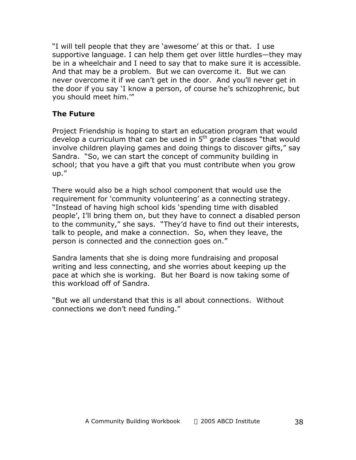"I will tell people that they are 'awesome' at this or that. I use supportive language. I can help them get over little hurdles—they may be in a wheelchair and I need to say that to make sure it is accessible. And that may be a problem. But we can overcome it. But we can never overcome it if we can't get in the door. And you'll never get in the door if you say 'I know a person, of course he's schizophrenic, but you should meet him.'"

## **The Future**

Project Friendship is hoping to start an education program that would develop a curriculum that can be used in  $5<sup>th</sup>$  grade classes "that would involve children playing games and doing things to discover gifts," say Sandra. "So, we can start the concept of community building in school; that you have a gift that you must contribute when you grow up."

There would also be a high school component that would use the requirement for 'community volunteering' as a connecting strategy. "Instead of having high school kids 'spending time with disabled people', I'll bring them on, but they have to connect a disabled person to the community," she says. "They'd have to find out their interests, talk to people, and make a connection. So, when they leave, the person is connected and the connection goes on."

Sandra laments that she is doing more fundraising and proposal writing and less connecting, and she worries about keeping up the pace at which she is working. But her Board is now taking some of this workload off of Sandra.

"But we all understand that this is all about connections. Without connections we don't need funding."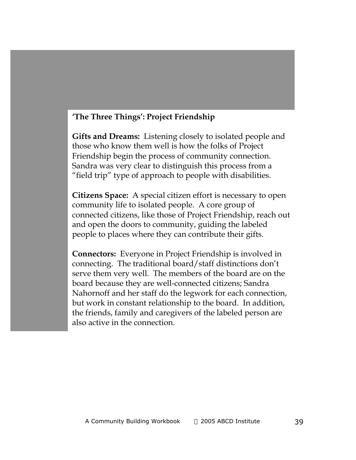## **'The Three Things': Project Friendship**

**Gifts and Dreams:** Listening closely to isolated people and those who know them well is how the folks of Project Friendship begin the process of community connection. Sandra was very clear to distinguish this process from a "field trip" type of approach to people with disabilities.

**Citizens Space:** A special citizen effort is necessary to open community life to isolated people. A core group of connected citizens, like those of Project Friendship, reach out and open the doors to community, guiding the labeled people to places where they can contribute their gifts.

**Connectors:** Everyone in Project Friendship is involved in connecting. The traditional board/staff distinctions don't serve them very well. The members of the board are on the board because they are well-connected citizens; Sandra Nahornoff and her staff do the legwork for each connection, but work in constant relationship to the board. In addition, the friends, family and caregivers of the labeled person are also active in the connection.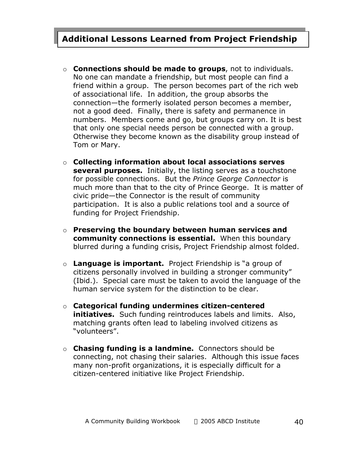## **Additional Lessons Learned from Project Friendship**

- o **Connections should be made to groups**, not to individuals. No one can mandate a friendship, but most people can find a friend within a group. The person becomes part of the rich web of associational life. In addition, the group absorbs the connection—the formerly isolated person becomes a member, not a good deed. Finally, there is safety and permanence in numbers. Members come and go, but groups carry on. It is best that only one special needs person be connected with a group. Otherwise they become known as the disability group instead of Tom or Mary.
- o **Collecting information about local associations serves several purposes.** Initially, the listing serves as a touchstone for possible connections. But the *Prince George Connector* is much more than that to the city of Prince George. It is matter of civic pride—the Connector is the result of community participation. It is also a public relations tool and a source of funding for Project Friendship.
- o **Preserving the boundary between human services and community connections is essential.** When this boundary blurred during a funding crisis, Project Friendship almost folded.
- o **Language is important.** Project Friendship is "a group of citizens personally involved in building a stronger community" (Ibid.). Special care must be taken to avoid the language of the human service system for the distinction to be clear.
- o **Categorical funding undermines citizen-centered initiatives.** Such funding reintroduces labels and limits. Also, matching grants often lead to labeling involved citizens as "volunteers".
- o **Chasing funding is a landmine.** Connectors should be connecting, not chasing their salaries. Although this issue faces many non-profit organizations, it is especially difficult for a citizen-centered initiative like Project Friendship.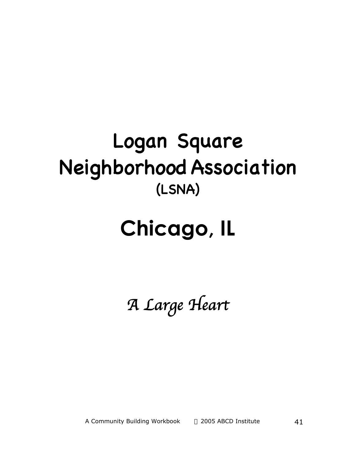## Logan Square Neighborhood Association (LSNA)

# **Chicago, IL**

*A Large Heart*

A Community Building Workbook @ 2005 ABCD Institute 41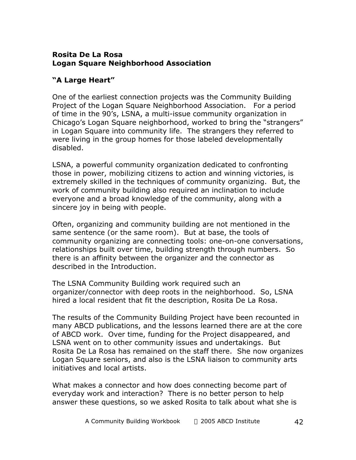#### **Rosita De La Rosa Logan Square Neighborhood Association**

## **"A Large Heart"**

One of the earliest connection projects was the Community Building Project of the Logan Square Neighborhood Association. For a period of time in the 90's, LSNA, a multi-issue community organization in Chicago's Logan Square neighborhood, worked to bring the "strangers" in Logan Square into community life. The strangers they referred to were living in the group homes for those labeled developmentally disabled.

LSNA, a powerful community organization dedicated to confronting those in power, mobilizing citizens to action and winning victories, is extremely skilled in the techniques of community organizing. But, the work of community building also required an inclination to include everyone and a broad knowledge of the community, along with a sincere joy in being with people.

Often, organizing and community building are not mentioned in the same sentence (or the same room). But at base, the tools of community organizing are connecting tools: one-on-one conversations, relationships built over time, building strength through numbers. So there is an affinity between the organizer and the connector as described in the Introduction.

The LSNA Community Building work required such an organizer/connector with deep roots in the neighborhood. So, LSNA hired a local resident that fit the description, Rosita De La Rosa.

The results of the Community Building Project have been recounted in many ABCD publications, and the lessons learned there are at the core of ABCD work. Over time, funding for the Project disappeared, and LSNA went on to other community issues and undertakings. But Rosita De La Rosa has remained on the staff there. She now organizes Logan Square seniors, and also is the LSNA liaison to community arts initiatives and local artists.

What makes a connector and how does connecting become part of everyday work and interaction? There is no better person to help answer these questions, so we asked Rosita to talk about what she is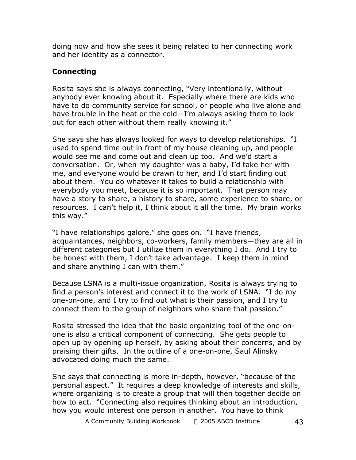doing now and how she sees it being related to her connecting work and her identity as a connector.

## **Connecting**

Rosita says she is always connecting, "Very intentionally, without anybody ever knowing about it. Especially where there are kids who have to do community service for school, or people who live alone and have trouble in the heat or the cold—I'm always asking them to look out for each other without them really knowing it."

She says she has always looked for ways to develop relationships. "I used to spend time out in front of my house cleaning up, and people would see me and come out and clean up too. And we'd start a conversation. Or, when my daughter was a baby, I'd take her with me, and everyone would be drawn to her, and I'd start finding out about them. You do whatever it takes to build a relationship with everybody you meet, because it is so important. That person may have a story to share, a history to share, some experience to share, or resources. I can't help it, I think about it all the time. My brain works this way."

"I have relationships galore," she goes on. "I have friends, acquaintances, neighbors, co-workers, family members—they are all in different categories but I utilize them in everything I do. And I try to be honest with them, I don't take advantage. I keep them in mind and share anything I can with them."

Because LSNA is a multi-issue organization, Rosita is always trying to find a person's interest and connect it to the work of LSNA. "I do my one-on-one, and I try to find out what is their passion, and I try to connect them to the group of neighbors who share that passion."

Rosita stressed the idea that the basic organizing tool of the one-onone is also a critical component of connecting. She gets people to open up by opening up herself, by asking about their concerns, and by praising their gifts. In the outline of a one-on-one, Saul Alinsky advocated doing much the same.

She says that connecting is more in-depth, however, "because of the personal aspect." It requires a deep knowledge of interests and skills, where organizing is to create a group that will then together decide on how to act. "Connecting also requires thinking about an introduction, how you would interest one person in another. You have to think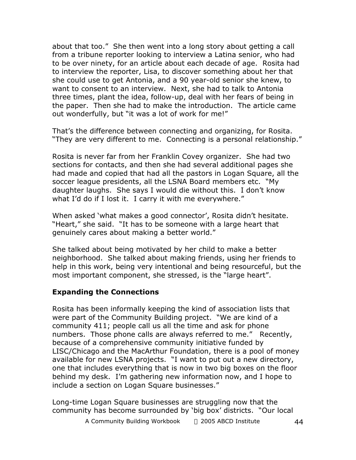about that too." She then went into a long story about getting a call from a tribune reporter looking to interview a Latina senior, who had to be over ninety, for an article about each decade of age. Rosita had to interview the reporter, Lisa, to discover something about her that she could use to get Antonia, and a 90 year-old senior she knew, to want to consent to an interview. Next, she had to talk to Antonia three times, plant the idea, follow-up, deal with her fears of being in the paper. Then she had to make the introduction. The article came out wonderfully, but "it was a lot of work for me!"

That's the difference between connecting and organizing, for Rosita. "They are very different to me. Connecting is a personal relationship."

Rosita is never far from her Franklin Covey organizer. She had two sections for contacts, and then she had several additional pages she had made and copied that had all the pastors in Logan Square, all the soccer league presidents, all the LSNA Board members etc. "My daughter laughs. She says I would die without this. I don't know what I'd do if I lost it. I carry it with me everywhere."

When asked 'what makes a good connector', Rosita didn't hesitate. "Heart," she said. "It has to be someone with a large heart that genuinely cares about making a better world."

She talked about being motivated by her child to make a better neighborhood. She talked about making friends, using her friends to help in this work, being very intentional and being resourceful, but the most important component, she stressed, is the "large heart".

#### **Expanding the Connections**

Rosita has been informally keeping the kind of association lists that were part of the Community Building project. "We are kind of a community 411; people call us all the time and ask for phone numbers. Those phone calls are always referred to me." Recently, because of a comprehensive community initiative funded by LISC/Chicago and the MacArthur Foundation, there is a pool of money available for new LSNA projects. "I want to put out a new directory, one that includes everything that is now in two big boxes on the floor behind my desk. I'm gathering new information now, and I hope to include a section on Logan Square businesses."

Long-time Logan Square businesses are struggling now that the community has become surrounded by 'big box' districts. "Our local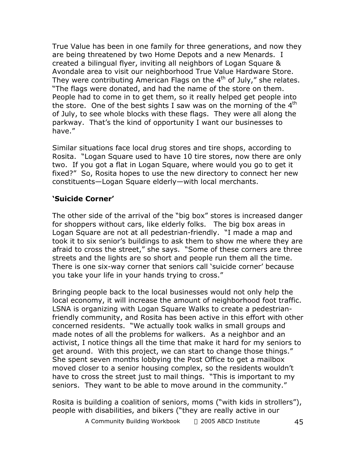True Value has been in one family for three generations, and now they are being threatened by two Home Depots and a new Menards. I created a bilingual flyer, inviting all neighbors of Logan Square & Avondale area to visit our neighborhood True Value Hardware Store. They were contributing American Flags on the  $4<sup>th</sup>$  of July," she relates. "The flags were donated, and had the name of the store on them. People had to come in to get them, so it really helped get people into the store. One of the best sights I saw was on the morning of the  $4<sup>th</sup>$ of July, to see whole blocks with these flags. They were all along the parkway. That's the kind of opportunity I want our businesses to have."

Similar situations face local drug stores and tire shops, according to Rosita. "Logan Square used to have 10 tire stores, now there are only two. If you got a flat in Logan Square, where would you go to get it fixed?" So, Rosita hopes to use the new directory to connect her new constituents—Logan Square elderly—with local merchants.

#### **'Suicide Corner'**

The other side of the arrival of the "big box" stores is increased danger for shoppers without cars, like elderly folks. The big box areas in Logan Square are not at all pedestrian-friendly. "I made a map and took it to six senior's buildings to ask them to show me where they are afraid to cross the street," she says. "Some of these corners are three streets and the lights are so short and people run them all the time. There is one six-way corner that seniors call 'suicide corner' because you take your life in your hands trying to cross."

Bringing people back to the local businesses would not only help the local economy, it will increase the amount of neighborhood foot traffic. LSNA is organizing with Logan Square Walks to create a pedestrianfriendly community, and Rosita has been active in this effort with other concerned residents. "We actually took walks in small groups and made notes of all the problems for walkers. As a neighbor and an activist, I notice things all the time that make it hard for my seniors to get around. With this project, we can start to change those things." She spent seven months lobbying the Post Office to get a mailbox moved closer to a senior housing complex, so the residents wouldn't have to cross the street just to mail things. "This is important to my seniors. They want to be able to move around in the community."

Rosita is building a coalition of seniors, moms ("with kids in strollers"), people with disabilities, and bikers ("they are really active in our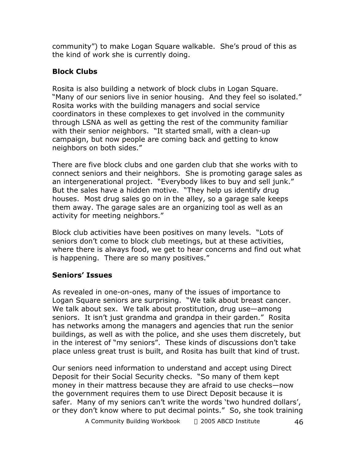community") to make Logan Square walkable. She's proud of this as the kind of work she is currently doing.

## **Block Clubs**

Rosita is also building a network of block clubs in Logan Square. "Many of our seniors live in senior housing. And they feel so isolated." Rosita works with the building managers and social service coordinators in these complexes to get involved in the community through LSNA as well as getting the rest of the community familiar with their senior neighbors. "It started small, with a clean-up campaign, but now people are coming back and getting to know neighbors on both sides."

There are five block clubs and one garden club that she works with to connect seniors and their neighbors. She is promoting garage sales as an intergenerational project. "Everybody likes to buy and sell junk." But the sales have a hidden motive. "They help us identify drug houses. Most drug sales go on in the alley, so a garage sale keeps them away. The garage sales are an organizing tool as well as an activity for meeting neighbors."

Block club activities have been positives on many levels. "Lots of seniors don't come to block club meetings, but at these activities, where there is always food, we get to hear concerns and find out what is happening. There are so many positives."

## **Seniors' Issues**

As revealed in one-on-ones, many of the issues of importance to Logan Square seniors are surprising. "We talk about breast cancer. We talk about sex. We talk about prostitution, drug use—among seniors. It isn't just grandma and grandpa in their garden." Rosita has networks among the managers and agencies that run the senior buildings, as well as with the police, and she uses them discretely, but in the interest of "my seniors". These kinds of discussions don't take place unless great trust is built, and Rosita has built that kind of trust.

Our seniors need information to understand and accept using Direct Deposit for their Social Security checks. "So many of them kept money in their mattress because they are afraid to use checks—now the government requires them to use Direct Deposit because it is safer. Many of my seniors can't write the words 'two hundred dollars', or they don't know where to put decimal points." So, she took training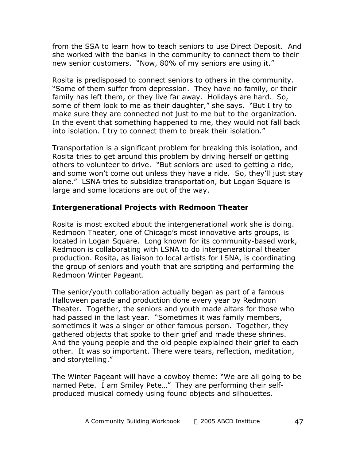from the SSA to learn how to teach seniors to use Direct Deposit. And she worked with the banks in the community to connect them to their new senior customers. "Now, 80% of my seniors are using it."

Rosita is predisposed to connect seniors to others in the community. "Some of them suffer from depression. They have no family, or their family has left them, or they live far away. Holidays are hard. So, some of them look to me as their daughter," she says. "But I try to make sure they are connected not just to me but to the organization. In the event that something happened to me, they would not fall back into isolation. I try to connect them to break their isolation."

Transportation is a significant problem for breaking this isolation, and Rosita tries to get around this problem by driving herself or getting others to volunteer to drive. "But seniors are used to getting a ride, and some won't come out unless they have a ride. So, they'll just stay alone." LSNA tries to subsidize transportation, but Logan Square is large and some locations are out of the way.

## **Intergenerational Projects with Redmoon Theater**

Rosita is most excited about the intergenerational work she is doing. Redmoon Theater, one of Chicago's most innovative arts groups, is located in Logan Square. Long known for its community-based work, Redmoon is collaborating with LSNA to do intergenerational theater production. Rosita, as liaison to local artists for LSNA, is coordinating the group of seniors and youth that are scripting and performing the Redmoon Winter Pageant.

The senior/youth collaboration actually began as part of a famous Halloween parade and production done every year by Redmoon Theater. Together, the seniors and youth made altars for those who had passed in the last year. "Sometimes it was family members, sometimes it was a singer or other famous person. Together, they gathered objects that spoke to their grief and made these shrines. And the young people and the old people explained their grief to each other. It was so important. There were tears, reflection, meditation, and storytelling."

The Winter Pageant will have a cowboy theme: "We are all going to be named Pete. I am Smiley Pete…" They are performing their selfproduced musical comedy using found objects and silhouettes.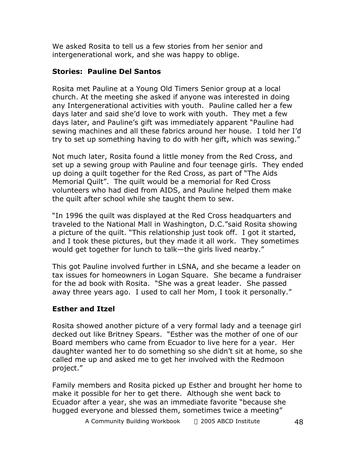We asked Rosita to tell us a few stories from her senior and intergenerational work, and she was happy to oblige.

#### **Stories: Pauline Del Santos**

Rosita met Pauline at a Young Old Timers Senior group at a local church. At the meeting she asked if anyone was interested in doing any Intergenerational activities with youth. Pauline called her a few days later and said she'd love to work with youth. They met a few days later, and Pauline's gift was immediately apparent "Pauline had sewing machines and all these fabrics around her house. I told her I'd try to set up something having to do with her gift, which was sewing."

Not much later, Rosita found a little money from the Red Cross, and set up a sewing group with Pauline and four teenage girls. They ended up doing a quilt together for the Red Cross, as part of "The Aids Memorial Quilt". The quilt would be a memorial for Red Cross volunteers who had died from AIDS, and Pauline helped them make the quilt after school while she taught them to sew.

"In 1996 the quilt was displayed at the Red Cross headquarters and traveled to the National Mall in Washington, D.C."said Rosita showing a picture of the quilt. "This relationship just took off. I got it started, and I took these pictures, but they made it all work. They sometimes would get together for lunch to talk—the girls lived nearby."

This got Pauline involved further in LSNA, and she became a leader on tax issues for homeowners in Logan Square. She became a fundraiser for the ad book with Rosita. "She was a great leader. She passed away three years ago. I used to call her Mom, I took it personally."

## **Esther and Itzel**

Rosita showed another picture of a very formal lady and a teenage girl decked out like Britney Spears. "Esther was the mother of one of our Board members who came from Ecuador to live here for a year. Her daughter wanted her to do something so she didn't sit at home, so she called me up and asked me to get her involved with the Redmoon project."

Family members and Rosita picked up Esther and brought her home to make it possible for her to get there. Although she went back to Ecuador after a year, she was an immediate favorite "because she hugged everyone and blessed them, sometimes twice a meeting"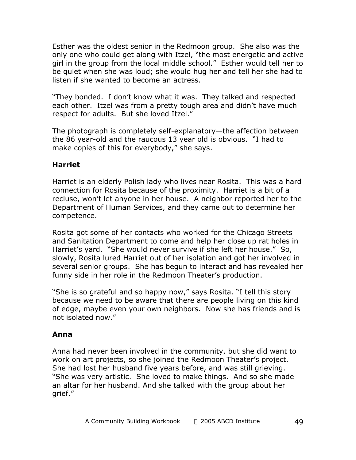Esther was the oldest senior in the Redmoon group. She also was the only one who could get along with Itzel, "the most energetic and active girl in the group from the local middle school." Esther would tell her to be quiet when she was loud; she would hug her and tell her she had to listen if she wanted to become an actress.

"They bonded. I don't know what it was. They talked and respected each other. Itzel was from a pretty tough area and didn't have much respect for adults. But she loved Itzel."

The photograph is completely self-explanatory—the affection between the 86 year-old and the raucous 13 year old is obvious. "I had to make copies of this for everybody," she says.

## **Harriet**

Harriet is an elderly Polish lady who lives near Rosita. This was a hard connection for Rosita because of the proximity. Harriet is a bit of a recluse, won't let anyone in her house. A neighbor reported her to the Department of Human Services, and they came out to determine her competence.

Rosita got some of her contacts who worked for the Chicago Streets and Sanitation Department to come and help her close up rat holes in Harriet's yard. "She would never survive if she left her house." So, slowly, Rosita lured Harriet out of her isolation and got her involved in several senior groups. She has begun to interact and has revealed her funny side in her role in the Redmoon Theater's production.

"She is so grateful and so happy now," says Rosita. "I tell this story because we need to be aware that there are people living on this kind of edge, maybe even your own neighbors. Now she has friends and is not isolated now."

## **Anna**

Anna had never been involved in the community, but she did want to work on art projects, so she joined the Redmoon Theater's project. She had lost her husband five years before, and was still grieving. "She was very artistic. She loved to make things. And so she made an altar for her husband. And she talked with the group about her grief."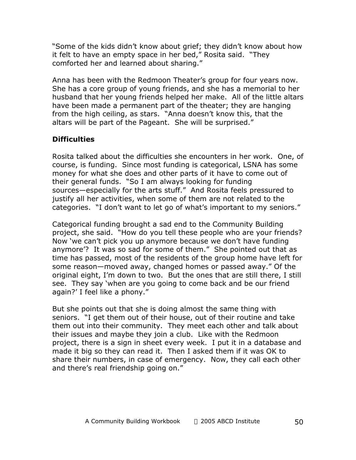"Some of the kids didn't know about grief; they didn't know about how it felt to have an empty space in her bed," Rosita said. "They comforted her and learned about sharing."

Anna has been with the Redmoon Theater's group for four years now. She has a core group of young friends, and she has a memorial to her husband that her young friends helped her make. All of the little altars have been made a permanent part of the theater; they are hanging from the high ceiling, as stars. "Anna doesn't know this, that the altars will be part of the Pageant. She will be surprised."

## **Difficulties**

Rosita talked about the difficulties she encounters in her work. One, of course, is funding. Since most funding is categorical, LSNA has some money for what she does and other parts of it have to come out of their general funds. "So I am always looking for funding sources—especially for the arts stuff." And Rosita feels pressured to justify all her activities, when some of them are not related to the categories. "I don't want to let go of what's important to my seniors."

Categorical funding brought a sad end to the Community Building project, she said. "How do you tell these people who are your friends? Now 'we can't pick you up anymore because we don't have funding anymore'? It was so sad for some of them." She pointed out that as time has passed, most of the residents of the group home have left for some reason—moved away, changed homes or passed away." Of the original eight, I'm down to two. But the ones that are still there, I still see. They say 'when are you going to come back and be our friend again?' I feel like a phony."

But she points out that she is doing almost the same thing with seniors. "I get them out of their house, out of their routine and take them out into their community. They meet each other and talk about their issues and maybe they join a club. Like with the Redmoon project, there is a sign in sheet every week. I put it in a database and made it big so they can read it. Then I asked them if it was OK to share their numbers, in case of emergency. Now, they call each other and there's real friendship going on."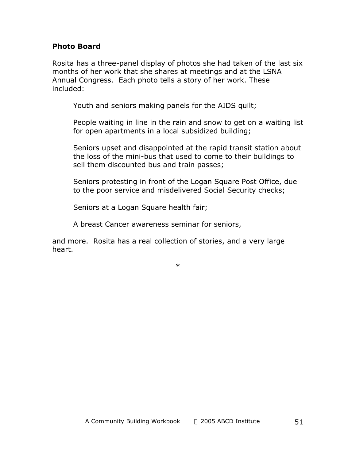#### **Photo Board**

Rosita has a three-panel display of photos she had taken of the last six months of her work that she shares at meetings and at the LSNA Annual Congress. Each photo tells a story of her work. These included:

Youth and seniors making panels for the AIDS quilt;

People waiting in line in the rain and snow to get on a waiting list for open apartments in a local subsidized building;

Seniors upset and disappointed at the rapid transit station about the loss of the mini-bus that used to come to their buildings to sell them discounted bus and train passes;

Seniors protesting in front of the Logan Square Post Office, due to the poor service and misdelivered Social Security checks;

Seniors at a Logan Square health fair;

A breast Cancer awareness seminar for seniors,

and more. Rosita has a real collection of stories, and a very large heart.

\*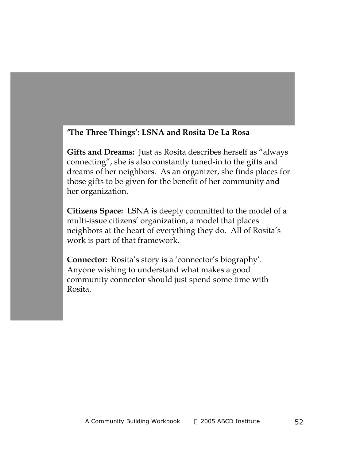## **'The Three Things': LSNA and Rosita De La Rosa**

**Gifts and Dreams:** Just as Rosita describes herself as "always connecting", she is also constantly tuned-in to the gifts and dreams of her neighbors. As an organizer, she finds places for those gifts to be given for the benefit of her community and her organization.

**Citizens Space:** LSNA is deeply committed to the model of a multi-issue citizens' organization, a model that places neighbors at the heart of everything they do. All of Rosita's work is part of that framework.

**Connector:** Rosita's story is a 'connector's biography'. Anyone wishing to understand what makes a good community connector should just spend some time with Rosita.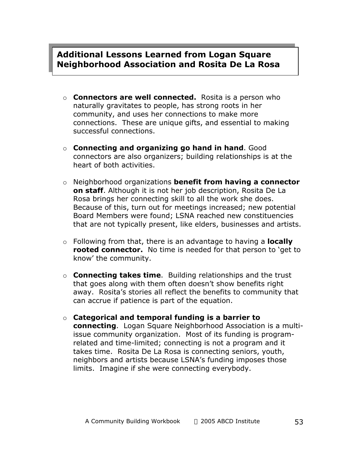## **Additional Lessons Learned from Logan Square Neighborhood Association and Rosita De La Rosa**

- o **Connectors are well connected.** Rosita is a person who naturally gravitates to people, has strong roots in her community, and uses her connections to make more connections. These are unique gifts, and essential to making successful connections.
- o **Connecting and organizing go hand in hand**. Good connectors are also organizers; building relationships is at the heart of both activities.
- o Neighborhood organizations **benefit from having a connector on staff**. Although it is not her job description, Rosita De La Rosa brings her connecting skill to all the work she does. Because of this, turn out for meetings increased; new potential Board Members were found; LSNA reached new constituencies that are not typically present, like elders, businesses and artists.
- o Following from that, there is an advantage to having a **locally rooted connector.** No time is needed for that person to 'get to know' the community.
- o **Connecting takes time**. Building relationships and the trust that goes along with them often doesn't show benefits right away. Rosita's stories all reflect the benefits to community that can accrue if patience is part of the equation.
- o **Categorical and temporal funding is a barrier to connecting**. Logan Square Neighborhood Association is a multiissue community organization. Most of its funding is programrelated and time-limited; connecting is not a program and it takes time. Rosita De La Rosa is connecting seniors, youth, neighbors and artists because LSNA's funding imposes those limits. Imagine if she were connecting everybody.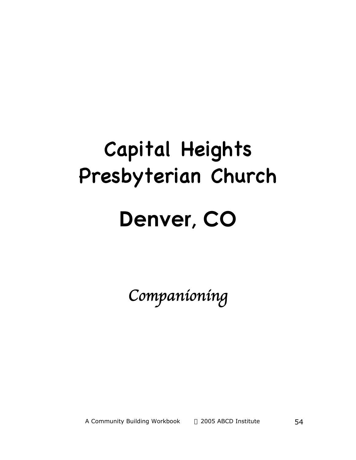# Capital Heights Presbyterian Church

## **Denver, CO**

*Companioning*

A Community Building Workbook @ 2005 ABCD Institute 54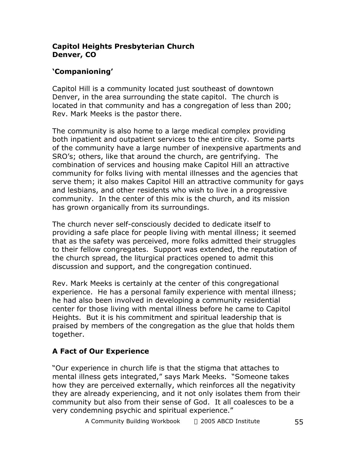## **Capitol Heights Presbyterian Church Denver, CO**

## **'Companioning'**

Capitol Hill is a community located just southeast of downtown Denver, in the area surrounding the state capitol. The church is located in that community and has a congregation of less than 200; Rev. Mark Meeks is the pastor there.

The community is also home to a large medical complex providing both inpatient and outpatient services to the entire city. Some parts of the community have a large number of inexpensive apartments and SRO's; others, like that around the church, are gentrifying. The combination of services and housing make Capitol Hill an attractive community for folks living with mental illnesses and the agencies that serve them; it also makes Capitol Hill an attractive community for gays and lesbians, and other residents who wish to live in a progressive community. In the center of this mix is the church, and its mission has grown organically from its surroundings.

The church never self-consciously decided to dedicate itself to providing a safe place for people living with mental illness; it seemed that as the safety was perceived, more folks admitted their struggles to their fellow congregates. Support was extended, the reputation of the church spread, the liturgical practices opened to admit this discussion and support, and the congregation continued.

Rev. Mark Meeks is certainly at the center of this congregational experience. He has a personal family experience with mental illness; he had also been involved in developing a community residential center for those living with mental illness before he came to Capitol Heights. But it is his commitment and spiritual leadership that is praised by members of the congregation as the glue that holds them together.

## **A Fact of Our Experience**

"Our experience in church life is that the stigma that attaches to mental illness gets integrated," says Mark Meeks. "Someone takes how they are perceived externally, which reinforces all the negativity they are already experiencing, and it not only isolates them from their community but also from their sense of God. It all coalesces to be a very condemning psychic and spiritual experience."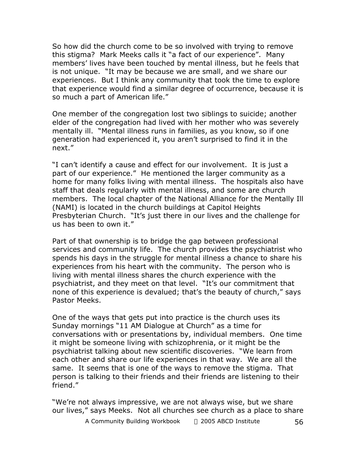So how did the church come to be so involved with trying to remove this stigma? Mark Meeks calls it "a fact of our experience". Many members' lives have been touched by mental illness, but he feels that is not unique. "It may be because we are small, and we share our experiences. But I think any community that took the time to explore that experience would find a similar degree of occurrence, because it is so much a part of American life."

One member of the congregation lost two siblings to suicide; another elder of the congregation had lived with her mother who was severely mentally ill. "Mental illness runs in families, as you know, so if one generation had experienced it, you aren't surprised to find it in the next."

"I can't identify a cause and effect for our involvement. It is just a part of our experience." He mentioned the larger community as a home for many folks living with mental illness. The hospitals also have staff that deals regularly with mental illness, and some are church members. The local chapter of the National Alliance for the Mentally Ill (NAMI) is located in the church buildings at Capitol Heights Presbyterian Church. "It's just there in our lives and the challenge for us has been to own it."

Part of that ownership is to bridge the gap between professional services and community life. The church provides the psychiatrist who spends his days in the struggle for mental illness a chance to share his experiences from his heart with the community. The person who is living with mental illness shares the church experience with the psychiatrist, and they meet on that level. "It's our commitment that none of this experience is devalued; that's the beauty of church," says Pastor Meeks.

One of the ways that gets put into practice is the church uses its Sunday mornings "11 AM Dialogue at Church" as a time for conversations with or presentations by, individual members. One time it might be someone living with schizophrenia, or it might be the psychiatrist talking about new scientific discoveries. "We learn from each other and share our life experiences in that way. We are all the same. It seems that is one of the ways to remove the stigma. That person is talking to their friends and their friends are listening to their friend."

"We're not always impressive, we are not always wise, but we share our lives," says Meeks. Not all churches see church as a place to share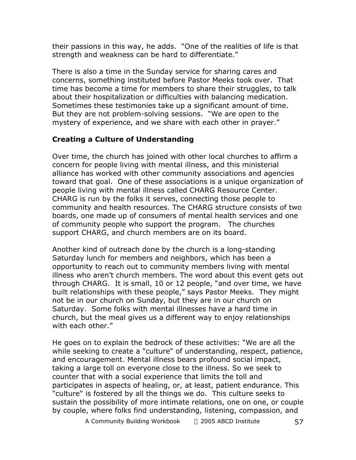their passions in this way, he adds. "One of the realities of life is that strength and weakness can be hard to differentiate."

There is also a time in the Sunday service for sharing cares and concerns, something instituted before Pastor Meeks took over. That time has become a time for members to share their struggles, to talk about their hospitalization or difficulties with balancing medication. Sometimes these testimonies take up a significant amount of time. But they are not problem-solving sessions. "We are open to the mystery of experience, and we share with each other in prayer."

## **Creating a Culture of Understanding**

Over time, the church has joined with other local churches to affirm a concern for people living with mental illness, and this ministerial alliance has worked with other community associations and agencies toward that goal. One of these associations is a unique organization of people living with mental illness called CHARG Resource Center. CHARG is run by the folks it serves, connecting those people to community and health resources. The CHARG structure consists of two boards, one made up of consumers of mental health services and one of community people who support the program. The churches support CHARG, and church members are on its board.

Another kind of outreach done by the church is a long-standing Saturday lunch for members and neighbors, which has been a opportunity to reach out to community members living with mental illness who aren't church members. The word about this event gets out through CHARG. It is small, 10 or 12 people, "and over time, we have built relationships with these people," says Pastor Meeks. They might not be in our church on Sunday, but they are in our church on Saturday. Some folks with mental illnesses have a hard time in church, but the meal gives us a different way to enjoy relationships with each other."

He goes on to explain the bedrock of these activities: "We are all the while seeking to create a "culture" of understanding, respect, patience, and encouragement. Mental illness bears profound social impact, taking a large toll on everyone close to the illness. So we seek to counter that with a social experience that limits the toll and participates in aspects of healing, or, at least, patient endurance. This "culture" is fostered by all the things we do. This culture seeks to sustain the possibility of more intimate relations, one on one, or couple by couple, where folks find understanding, listening, compassion, and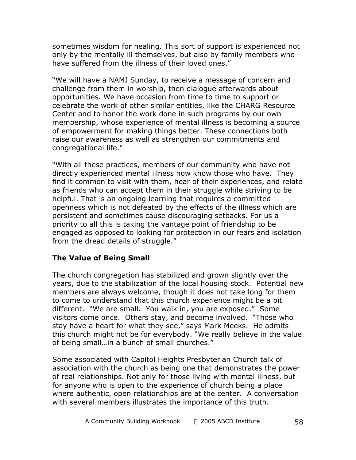sometimes wisdom for healing. This sort of support is experienced not only by the mentally ill themselves, but also by family members who have suffered from the illness of their loved ones."

"We will have a NAMI Sunday, to receive a message of concern and challenge from them in worship, then dialogue afterwards about opportunities. We have occasion from time to time to support or celebrate the work of other similar entities, like the CHARG Resource Center and to honor the work done in such programs by our own membership, whose experience of mental illness is becoming a source of empowerment for making things better. These connections both raise our awareness as well as strengthen our commitments and congregational life."

"With all these practices, members of our community who have not directly experienced mental illness now know those who have. They find it common to visit with them, hear of their experiences, and relate as friends who can accept them in their struggle while striving to be helpful. That is an ongoing learning that requires a committed openness which is not defeated by the effects of the illness which are persistent and sometimes cause discouraging setbacks. For us a priority to all this is taking the vantage point of friendship to be engaged as opposed to looking for protection in our fears and isolation from the dread details of struggle."

## **The Value of Being Small**

The church congregation has stabilized and grown slightly over the years, due to the stabilization of the local housing stock. Potential new members are always welcome, though it does not take long for them to come to understand that this church experience might be a bit different. "We are small. You walk in, you are exposed." Some visitors come once. Others stay, and become involved. "Those who stay have a heart for what they see," says Mark Meeks. He admits this church might not be for everybody. "We really believe in the value of being small…in a bunch of small churches."

Some associated with Capitol Heights Presbyterian Church talk of association with the church as being one that demonstrates the power of real relationships. Not only for those living with mental illness, but for anyone who is open to the experience of church being a place where authentic, open relationships are at the center. A conversation with several members illustrates the importance of this truth.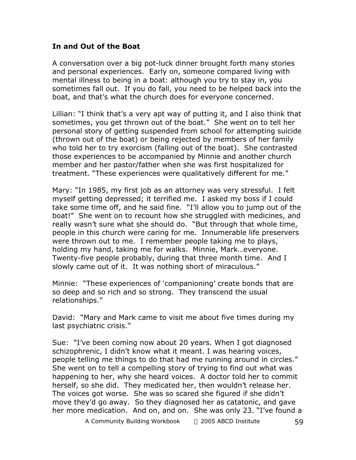#### **In and Out of the Boat**

A conversation over a big pot-luck dinner brought forth many stories and personal experiences. Early on, someone compared living with mental illness to being in a boat: although you try to stay in, you sometimes fall out. If you do fall, you need to be helped back into the boat, and that's what the church does for everyone concerned.

Lillian: "I think that's a very apt way of putting it, and I also think that sometimes, you get thrown out of the boat." She went on to tell her personal story of getting suspended from school for attempting suicide (thrown out of the boat) or being rejected by members of her family who told her to try exorcism (falling out of the boat). She contrasted those experiences to be accompanied by Minnie and another church member and her pastor/father when she was first hospitalized for treatment. "These experiences were qualitatively different for me."

Mary: "In 1985, my first job as an attorney was very stressful. I felt myself getting depressed; it terrified me. I asked my boss if I could take some time off, and he said fine. "I'll allow you to jump out of the boat!" She went on to recount how she struggled with medicines, and really wasn't sure what she should do. "But through that whole time, people in this church were caring for me. Innumerable life preservers were thrown out to me. I remember people taking me to plays, holding my hand, taking me for walks. Minnie, Mark…everyone. Twenty-five people probably, during that three month time. And I slowly came out of it. It was nothing short of miraculous."

Minnie: "These experiences of 'companioning' create bonds that are so deep and so rich and so strong. They transcend the usual relationships."

David: "Mary and Mark came to visit me about five times during my last psychiatric crisis."

Sue: "I've been coming now about 20 years. When I got diagnosed schizophrenic, I didn't know what it meant. I was hearing voices, people telling me things to do that had me running around in circles." She went on to tell a compelling story of trying to find out what was happening to her, why she heard voices. A doctor told her to commit herself, so she did. They medicated her, then wouldn't release her. The voices got worse. She was so scared she figured if she didn't move they'd go away. So they diagnosed her as catatonic, and gave her more medication. And on, and on. She was only 23. "I've found a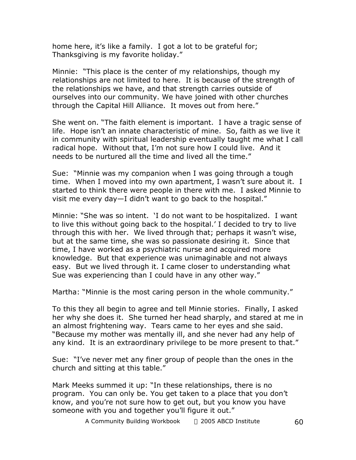home here, it's like a family. I got a lot to be grateful for; Thanksgiving is my favorite holiday."

Minnie: "This place is the center of my relationships, though my relationships are not limited to here. It is because of the strength of the relationships we have, and that strength carries outside of ourselves into our community. We have joined with other churches through the Capital Hill Alliance. It moves out from here."

She went on. "The faith element is important. I have a tragic sense of life. Hope isn't an innate characteristic of mine. So, faith as we live it in community with spiritual leadership eventually taught me what I call radical hope. Without that, I'm not sure how I could live. And it needs to be nurtured all the time and lived all the time."

Sue: "Minnie was my companion when I was going through a tough time. When I moved into my own apartment, I wasn't sure about it. I started to think there were people in there with me. I asked Minnie to visit me every day—I didn't want to go back to the hospital."

Minnie: "She was so intent. 'I do not want to be hospitalized. I want to live this without going back to the hospital.' I decided to try to live through this with her. We lived through that; perhaps it wasn't wise, but at the same time, she was so passionate desiring it. Since that time, I have worked as a psychiatric nurse and acquired more knowledge. But that experience was unimaginable and not always easy. But we lived through it. I came closer to understanding what Sue was experiencing than I could have in any other way."

Martha: "Minnie is the most caring person in the whole community."

To this they all begin to agree and tell Minnie stories. Finally, I asked her why she does it. She turned her head sharply, and stared at me in an almost frightening way. Tears came to her eyes and she said. "Because my mother was mentally ill, and she never had any help of any kind. It is an extraordinary privilege to be more present to that."

Sue: "I've never met any finer group of people than the ones in the church and sitting at this table."

Mark Meeks summed it up: "In these relationships, there is no program. You can only be. You get taken to a place that you don't know, and you're not sure how to get out, but you know you have someone with you and together you'll figure it out."

A Community Building Workbook  $\qquad \odot$  2005 ABCD Institute 60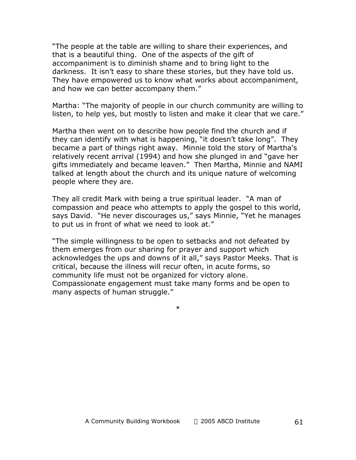"The people at the table are willing to share their experiences, and that is a beautiful thing. One of the aspects of the gift of accompaniment is to diminish shame and to bring light to the darkness. It isn't easy to share these stories, but they have told us. They have empowered us to know what works about accompaniment, and how we can better accompany them."

Martha: "The majority of people in our church community are willing to listen, to help yes, but mostly to listen and make it clear that we care."

Martha then went on to describe how people find the church and if they can identify with what is happening, "it doesn't take long". They became a part of things right away. Minnie told the story of Martha's relatively recent arrival (1994) and how she plunged in and "gave her gifts immediately and became leaven." Then Martha, Minnie and NAMI talked at length about the church and its unique nature of welcoming people where they are.

They all credit Mark with being a true spiritual leader. "A man of compassion and peace who attempts to apply the gospel to this world, says David. "He never discourages us," says Minnie, "Yet he manages to put us in front of what we need to look at."

"The simple willingness to be open to setbacks and not defeated by them emerges from our sharing for prayer and support which acknowledges the ups and downs of it all," says Pastor Meeks. That is critical, because the illness will recur often, in acute forms, so community life must not be organized for victory alone. Compassionate engagement must take many forms and be open to many aspects of human struggle."

\*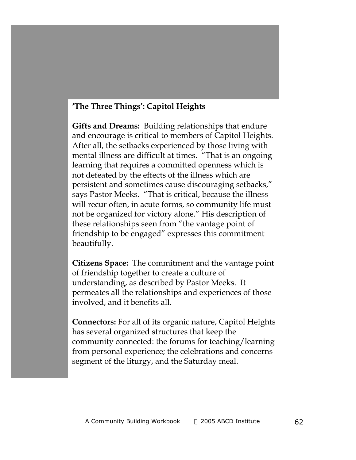## **'The Three Things': Capitol Heights**

**Gifts and Dreams:** Building relationships that endure and encourage is critical to members of Capitol Heights. After all, the setbacks experienced by those living with mental illness are difficult at times. "That is an ongoing learning that requires a committed openness which is not defeated by the effects of the illness which are persistent and sometimes cause discouraging setbacks," says Pastor Meeks. "That is critical, because the illness will recur often, in acute forms, so community life must not be organized for victory alone." His description of these relationships seen from "the vantage point of friendship to be engaged" expresses this commitment beautifully.

**Citizens Space:** The commitment and the vantage point of friendship together to create a culture of understanding, as described by Pastor Meeks. It permeates all the relationships and experiences of those involved, and it benefits all.

**Connectors:** For all of its organic nature, Capitol Heights has several organized structures that keep the community connected: the forums for teaching/learning from personal experience; the celebrations and concerns segment of the liturgy, and the Saturday meal.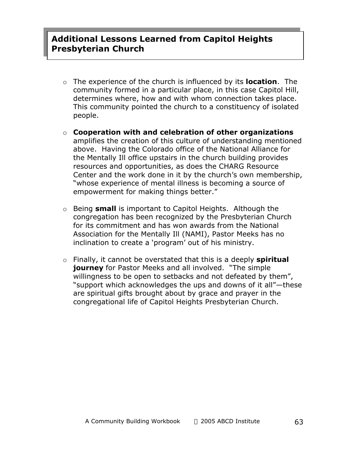## **Additional Lessons Learned from Capitol Heights Presbyterian Church**

- o The experience of the church is influenced by its **location**. The community formed in a particular place, in this case Capitol Hill, determines where, how and with whom connection takes place. This community pointed the church to a constituency of isolated people.
- o **Cooperation with and celebration of other organizations** amplifies the creation of this culture of understanding mentioned above. Having the Colorado office of the National Alliance for the Mentally Ill office upstairs in the church building provides resources and opportunities, as does the CHARG Resource Center and the work done in it by the church's own membership, "whose experience of mental illness is becoming a source of empowerment for making things better."
- o Being **small** is important to Capitol Heights. Although the congregation has been recognized by the Presbyterian Church for its commitment and has won awards from the National Association for the Mentally Ill (NAMI), Pastor Meeks has no inclination to create a 'program' out of his ministry.
- o Finally, it cannot be overstated that this is a deeply **spiritual journey** for Pastor Meeks and all involved. "The simple willingness to be open to setbacks and not defeated by them", "support which acknowledges the ups and downs of it all"—these are spiritual gifts brought about by grace and prayer in the congregational life of Capitol Heights Presbyterian Church.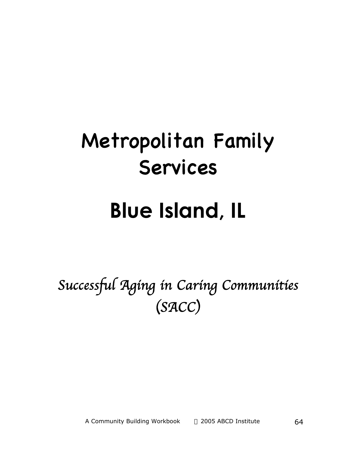## Metropolitan Family Services

## **Blue Island, IL**

*Successful Aging in Caring Communities (SACC)*

A Community Building Workbook  $\qquad \odot$  2005 ABCD Institute 64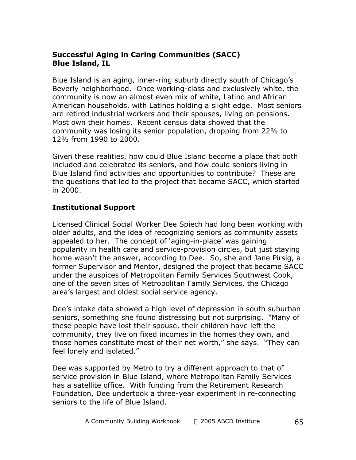## **Successful Aging in Caring Communities (SACC) Blue Island, IL**

Blue Island is an aging, inner-ring suburb directly south of Chicago's Beverly neighborhood. Once working-class and exclusively white, the community is now an almost even mix of white, Latino and African American households, with Latinos holding a slight edge. Most seniors are retired industrial workers and their spouses, living on pensions. Most own their homes. Recent census data showed that the community was losing its senior population, dropping from 22% to 12% from 1990 to 2000.

Given these realities, how could Blue Island become a place that both included and celebrated its seniors, and how could seniors living in Blue Island find activities and opportunities to contribute? These are the questions that led to the project that became SACC, which started in 2000.

## **Institutional Support**

Licensed Clinical Social Worker Dee Spiech had long been working with older adults, and the idea of recognizing seniors as community assets appealed to her. The concept of 'aging-in-place' was gaining popularity in health care and service-provision circles, but just staying home wasn't the answer, according to Dee. So, she and Jane Pirsig, a former Supervisor and Mentor, designed the project that became SACC under the auspices of Metropolitan Family Services Southwest Cook, one of the seven sites of Metropolitan Family Services, the Chicago area's largest and oldest social service agency.

Dee's intake data showed a high level of depression in south suburban seniors, something she found distressing but not surprising. "Many of these people have lost their spouse, their children have left the community, they live on fixed incomes in the homes they own, and those homes constitute most of their net worth," she says. "They can feel lonely and isolated."

Dee was supported by Metro to try a different approach to that of service provision in Blue Island, where Metropolitan Family Services has a satellite office. With funding from the Retirement Research Foundation, Dee undertook a three-year experiment in re-connecting seniors to the life of Blue Island.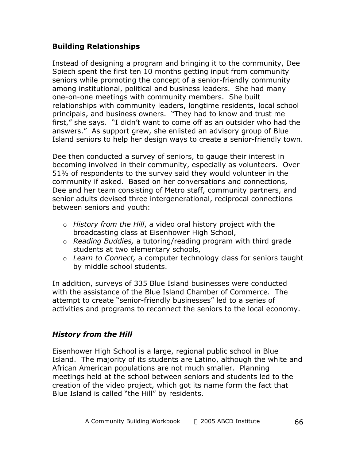## **Building Relationships**

Instead of designing a program and bringing it to the community, Dee Spiech spent the first ten 10 months getting input from community seniors while promoting the concept of a senior-friendly community among institutional, political and business leaders. She had many one-on-one meetings with community members. She built relationships with community leaders, longtime residents, local school principals, and business owners. "They had to know and trust me first," she says. "I didn't want to come off as an outsider who had the answers." As support grew, she enlisted an advisory group of Blue Island seniors to help her design ways to create a senior-friendly town.

Dee then conducted a survey of seniors, to gauge their interest in becoming involved in their community, especially as volunteers. Over 51% of respondents to the survey said they would volunteer in the community if asked. Based on her conversations and connections, Dee and her team consisting of Metro staff, community partners, and senior adults devised three intergenerational, reciprocal connections between seniors and youth:

- o *History from the Hill*, a video oral history project with the broadcasting class at Eisenhower High School,
- o *Reading Buddies,* a tutoring/reading program with third grade students at two elementary schools,
- o *Learn to Connect,* a computer technology class for seniors taught by middle school students.

In addition, surveys of 335 Blue Island businesses were conducted with the assistance of the Blue Island Chamber of Commerce. The attempt to create "senior-friendly businesses" led to a series of activities and programs to reconnect the seniors to the local economy.

## *History from the Hill*

Eisenhower High School is a large, regional public school in Blue Island. The majority of its students are Latino, although the white and African American populations are not much smaller. Planning meetings held at the school between seniors and students led to the creation of the video project, which got its name form the fact that Blue Island is called "the Hill" by residents.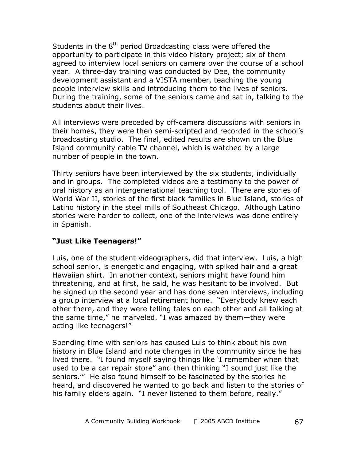Students in the 8<sup>th</sup> period Broadcasting class were offered the opportunity to participate in this video history project; six of them agreed to interview local seniors on camera over the course of a school year. A three-day training was conducted by Dee, the community development assistant and a VISTA member, teaching the young people interview skills and introducing them to the lives of seniors. During the training, some of the seniors came and sat in, talking to the students about their lives.

All interviews were preceded by off-camera discussions with seniors in their homes, they were then semi-scripted and recorded in the school's broadcasting studio. The final, edited results are shown on the Blue Island community cable TV channel, which is watched by a large number of people in the town.

Thirty seniors have been interviewed by the six students, individually and in groups. The completed videos are a testimony to the power of oral history as an intergenerational teaching tool. There are stories of World War II, stories of the first black families in Blue Island, stories of Latino history in the steel mills of Southeast Chicago. Although Latino stories were harder to collect, one of the interviews was done entirely in Spanish.

## **"Just Like Teenagers!"**

Luis, one of the student videographers, did that interview. Luis, a high school senior, is energetic and engaging, with spiked hair and a great Hawaiian shirt. In another context, seniors might have found him threatening, and at first, he said, he was hesitant to be involved. But he signed up the second year and has done seven interviews, including a group interview at a local retirement home. "Everybody knew each other there, and they were telling tales on each other and all talking at the same time," he marveled. "I was amazed by them—they were acting like teenagers!"

Spending time with seniors has caused Luis to think about his own history in Blue Island and note changes in the community since he has lived there. "I found myself saying things like 'I remember when that used to be a car repair store" and then thinking "I sound just like the seniors.'" He also found himself to be fascinated by the stories he heard, and discovered he wanted to go back and listen to the stories of his family elders again. "I never listened to them before, really."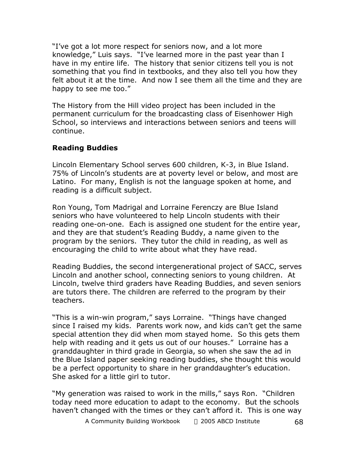"I've got a lot more respect for seniors now, and a lot more knowledge," Luis says. "I've learned more in the past year than I have in my entire life. The history that senior citizens tell you is not something that you find in textbooks, and they also tell you how they felt about it at the time. And now I see them all the time and they are happy to see me too."

The History from the Hill video project has been included in the permanent curriculum for the broadcasting class of Eisenhower High School, so interviews and interactions between seniors and teens will continue.

## **Reading Buddies**

Lincoln Elementary School serves 600 children, K-3, in Blue Island. 75% of Lincoln's students are at poverty level or below, and most are Latino. For many, English is not the language spoken at home, and reading is a difficult subject.

Ron Young, Tom Madrigal and Lorraine Ferenczy are Blue Island seniors who have volunteered to help Lincoln students with their reading one-on-one. Each is assigned one student for the entire year, and they are that student's Reading Buddy, a name given to the program by the seniors. They tutor the child in reading, as well as encouraging the child to write about what they have read.

Reading Buddies, the second intergenerational project of SACC, serves Lincoln and another school, connecting seniors to young children. At Lincoln, twelve third graders have Reading Buddies, and seven seniors are tutors there. The children are referred to the program by their teachers.

"This is a win-win program," says Lorraine. "Things have changed since I raised my kids. Parents work now, and kids can't get the same special attention they did when mom stayed home. So this gets them help with reading and it gets us out of our houses." Lorraine has a granddaughter in third grade in Georgia, so when she saw the ad in the Blue Island paper seeking reading buddies, she thought this would be a perfect opportunity to share in her granddaughter's education. She asked for a little girl to tutor.

"My generation was raised to work in the mills," says Ron. "Children today need more education to adapt to the economy. But the schools haven't changed with the times or they can't afford it. This is one way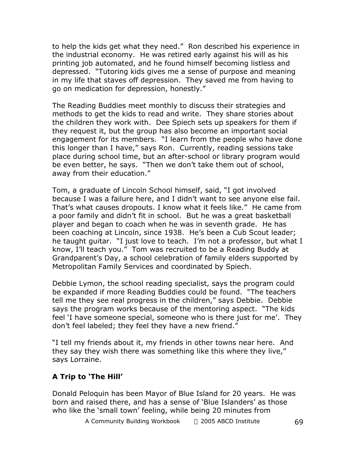to help the kids get what they need." Ron described his experience in the industrial economy. He was retired early against his will as his printing job automated, and he found himself becoming listless and depressed. "Tutoring kids gives me a sense of purpose and meaning in my life that staves off depression. They saved me from having to go on medication for depression, honestly."

The Reading Buddies meet monthly to discuss their strategies and methods to get the kids to read and write. They share stories about the children they work with. Dee Spiech sets up speakers for them if they request it, but the group has also become an important social engagement for its members. "I learn from the people who have done this longer than I have," says Ron. Currently, reading sessions take place during school time, but an after-school or library program would be even better, he says. "Then we don't take them out of school, away from their education."

Tom, a graduate of Lincoln School himself, said, "I got involved because I was a failure here, and I didn't want to see anyone else fail. That's what causes dropouts. I know what it feels like." He came from a poor family and didn't fit in school. But he was a great basketball player and began to coach when he was in seventh grade. He has been coaching at Lincoln, since 1938. He's been a Cub Scout leader; he taught guitar. "I just love to teach. I'm not a professor, but what I know, I'll teach you." Tom was recruited to be a Reading Buddy at Grandparent's Day, a school celebration of family elders supported by Metropolitan Family Services and coordinated by Spiech.

Debbie Lymon, the school reading specialist, says the program could be expanded if more Reading Buddies could be found. "The teachers tell me they see real progress in the children," says Debbie. Debbie says the program works because of the mentoring aspect. "The kids feel 'I have someone special, someone who is there just for me'. They don't feel labeled; they feel they have a new friend."

"I tell my friends about it, my friends in other towns near here. And they say they wish there was something like this where they live," says Lorraine.

## **A Trip to 'The Hill'**

Donald Peloquin has been Mayor of Blue Island for 20 years. He was born and raised there, and has a sense of 'Blue Islanders' as those who like the 'small town' feeling, while being 20 minutes from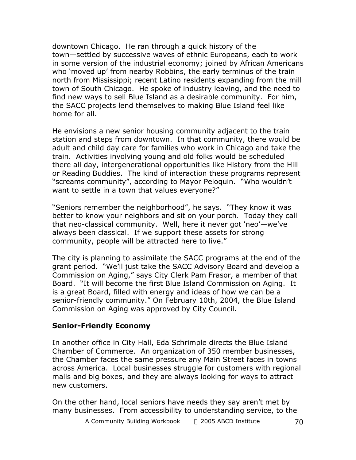downtown Chicago. He ran through a quick history of the town—settled by successive waves of ethnic Europeans, each to work in some version of the industrial economy; joined by African Americans who 'moved up' from nearby Robbins, the early terminus of the train north from Mississippi; recent Latino residents expanding from the mill town of South Chicago. He spoke of industry leaving, and the need to find new ways to sell Blue Island as a desirable community. For him, the SACC projects lend themselves to making Blue Island feel like home for all.

He envisions a new senior housing community adjacent to the train station and steps from downtown. In that community, there would be adult and child day care for families who work in Chicago and take the train. Activities involving young and old folks would be scheduled there all day, intergenerational opportunities like History from the Hill or Reading Buddies. The kind of interaction these programs represent "screams community", according to Mayor Peloquin. "Who wouldn't want to settle in a town that values everyone?"

"Seniors remember the neighborhood", he says. "They know it was better to know your neighbors and sit on your porch. Today they call that neo-classical community. Well, here it never got 'neo'—we've always been classical. If we support these assets for strong community, people will be attracted here to live."

The city is planning to assimilate the SACC programs at the end of the grant period. "We'll just take the SACC Advisory Board and develop a Commission on Aging," says City Clerk Pam Frasor, a member of that Board. "It will become the first Blue Island Commission on Aging. It is a great Board, filled with energy and ideas of how we can be a senior-friendly community." On February 10th, 2004, the Blue Island Commission on Aging was approved by City Council.

#### **Senior-Friendly Economy**

In another office in City Hall, Eda Schrimple directs the Blue Island Chamber of Commerce. An organization of 350 member businesses, the Chamber faces the same pressure any Main Street faces in towns across America. Local businesses struggle for customers with regional malls and big boxes, and they are always looking for ways to attract new customers.

On the other hand, local seniors have needs they say aren't met by many businesses. From accessibility to understanding service, to the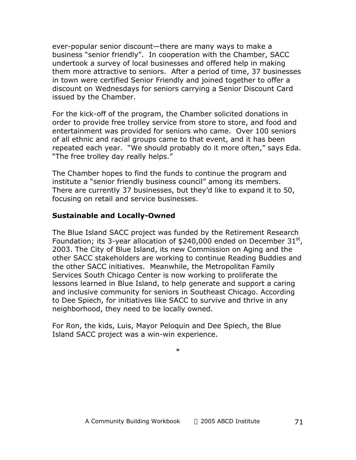ever-popular senior discount—there are many ways to make a business "senior friendly". In cooperation with the Chamber, SACC undertook a survey of local businesses and offered help in making them more attractive to seniors. After a period of time, 37 businesses in town were certified Senior Friendly and joined together to offer a discount on Wednesdays for seniors carrying a Senior Discount Card issued by the Chamber.

For the kick-off of the program, the Chamber solicited donations in order to provide free trolley service from store to store, and food and entertainment was provided for seniors who came. Over 100 seniors of all ethnic and racial groups came to that event, and it has been repeated each year. "We should probably do it more often," says Eda. "The free trolley day really helps."

The Chamber hopes to find the funds to continue the program and institute a "senior friendly business council" among its members. There are currently 37 businesses, but they'd like to expand it to 50, focusing on retail and service businesses.

#### **Sustainable and Locally-Owned**

The Blue Island SACC project was funded by the Retirement Research Foundation; its 3-year allocation of \$240,000 ended on December  $31^{st}$ , 2003. The City of Blue Island, its new Commission on Aging and the other SACC stakeholders are working to continue Reading Buddies and the other SACC initiatives. Meanwhile, the Metropolitan Family Services South Chicago Center is now working to proliferate the lessons learned in Blue Island, to help generate and support a caring and inclusive community for seniors in Southeast Chicago. According to Dee Spiech, for initiatives like SACC to survive and thrive in any neighborhood, they need to be locally owned.

For Ron, the kids, Luis, Mayor Peloquin and Dee Spiech, the Blue Island SACC project was a win-win experience.

\*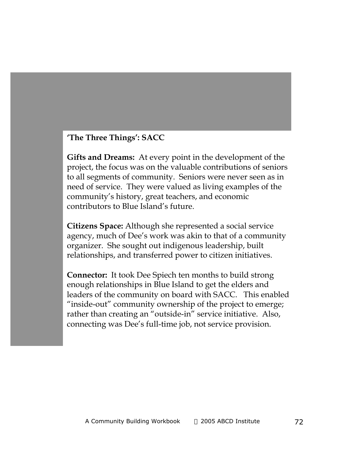### **'The Three Things': SACC**

**Gifts and Dreams:** At every point in the development of the project, the focus was on the valuable contributions of seniors to all segments of community. Seniors were never seen as in need of service. They were valued as living examples of the community's history, great teachers, and economic contributors to Blue Island's future.

**Citizens Space:** Although she represented a social service agency, much of Dee's work was akin to that of a community organizer. She sought out indigenous leadership, built relationships, and transferred power to citizen initiatives.

**Connector:** It took Dee Spiech ten months to build strong enough relationships in Blue Island to get the elders and leaders of the community on board with SACC. This enabled "inside-out" community ownership of the project to emerge; rather than creating an "outside-in" service initiative. Also, connecting was Dee's full-time job, not service provision.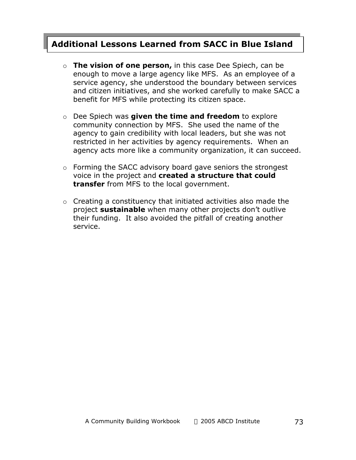# **Additional Lessons Learned from SACC in Blue Island**

- o **The vision of one person,** in this case Dee Spiech, can be enough to move a large agency like MFS. As an employee of a service agency, she understood the boundary between services and citizen initiatives, and she worked carefully to make SACC a benefit for MFS while protecting its citizen space.
- o Dee Spiech was **given the time and freedom** to explore community connection by MFS. She used the name of the agency to gain credibility with local leaders, but she was not restricted in her activities by agency requirements. When an agency acts more like a community organization, it can succeed.
- o Forming the SACC advisory board gave seniors the strongest voice in the project and **created a structure that could transfer** from MFS to the local government.
- o Creating a constituency that initiated activities also made the project **sustainable** when many other projects don't outlive their funding. It also avoided the pitfall of creating another service.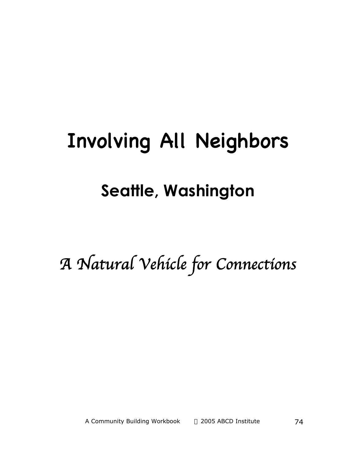# Involving All Neighbors

# **Seattle, Washington**

*A Natural Vehicle for Connections*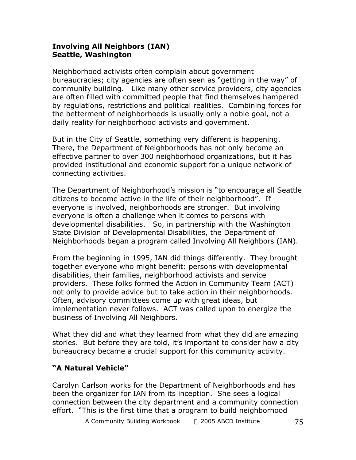### **Involving All Neighbors (IAN) Seattle, Washington**

Neighborhood activists often complain about government bureaucracies; city agencies are often seen as "getting in the way" of community building. Like many other service providers, city agencies are often filled with committed people that find themselves hampered by regulations, restrictions and political realities. Combining forces for the betterment of neighborhoods is usually only a noble goal, not a daily reality for neighborhood activists and government.

But in the City of Seattle, something very different is happening. There, the Department of Neighborhoods has not only become an effective partner to over 300 neighborhood organizations, but it has provided institutional and economic support for a unique network of connecting activities.

The Department of Neighborhood's mission is "to encourage all Seattle citizens to become active in the life of their neighborhood". If everyone is involved, neighborhoods are stronger. But involving everyone is often a challenge when it comes to persons with developmental disabilities. So, in partnership with the Washington State Division of Developmental Disabilities, the Department of Neighborhoods began a program called Involving All Neighbors (IAN).

From the beginning in 1995, IAN did things differently. They brought together everyone who might benefit: persons with developmental disabilities, their families, neighborhood activists and service providers. These folks formed the Action in Community Team (ACT) not only to provide advice but to take action in their neighborhoods. Often, advisory committees come up with great ideas, but implementation never follows. ACT was called upon to energize the business of Involving All Neighbors.

What they did and what they learned from what they did are amazing stories. But before they are told, it's important to consider how a city bureaucracy became a crucial support for this community activity.

### **"A Natural Vehicle"**

Carolyn Carlson works for the Department of Neighborhoods and has been the organizer for IAN from its inception. She sees a logical connection between the city department and a community connection effort. "This is the first time that a program to build neighborhood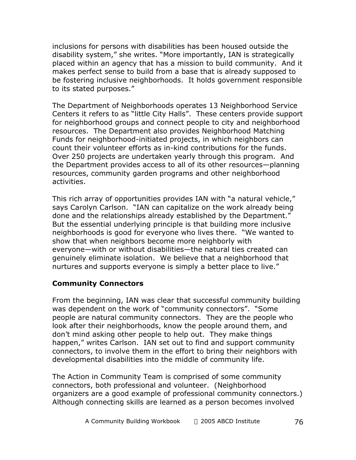inclusions for persons with disabilities has been housed outside the disability system," she writes. "More importantly, IAN is strategically placed within an agency that has a mission to build community. And it makes perfect sense to build from a base that is already supposed to be fostering inclusive neighborhoods. It holds government responsible to its stated purposes."

The Department of Neighborhoods operates 13 Neighborhood Service Centers it refers to as "little City Halls". These centers provide support for neighborhood groups and connect people to city and neighborhood resources. The Department also provides Neighborhood Matching Funds for neighborhood-initiated projects, in which neighbors can count their volunteer efforts as in-kind contributions for the funds. Over 250 projects are undertaken yearly through this program. And the Department provides access to all of its other resources—planning resources, community garden programs and other neighborhood activities.

This rich array of opportunities provides IAN with "a natural vehicle," says Carolyn Carlson. "IAN can capitalize on the work already being done and the relationships already established by the Department." But the essential underlying principle is that building more inclusive neighborhoods is good for everyone who lives there. "We wanted to show that when neighbors become more neighborly with everyone—with or without disabilities—the natural ties created can genuinely eliminate isolation. We believe that a neighborhood that nurtures and supports everyone is simply a better place to live."

### **Community Connectors**

From the beginning, IAN was clear that successful community building was dependent on the work of "community connectors". "Some people are natural community connectors. They are the people who look after their neighborhoods, know the people around them, and don't mind asking other people to help out. They make things happen," writes Carlson. IAN set out to find and support community connectors, to involve them in the effort to bring their neighbors with developmental disabilities into the middle of community life.

The Action in Community Team is comprised of some community connectors, both professional and volunteer. (Neighborhood organizers are a good example of professional community connectors.) Although connecting skills are learned as a person becomes involved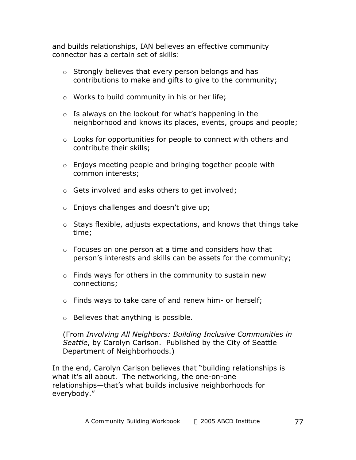and builds relationships, IAN believes an effective community connector has a certain set of skills:

- o Strongly believes that every person belongs and has contributions to make and gifts to give to the community;
- o Works to build community in his or her life;
- $\circ$  Is always on the lookout for what's happening in the neighborhood and knows its places, events, groups and people;
- $\circ$  Looks for opportunities for people to connect with others and contribute their skills;
- o Enjoys meeting people and bringing together people with common interests;
- o Gets involved and asks others to get involved;
- o Enjoys challenges and doesn't give up;
- $\circ$  Stays flexible, adjusts expectations, and knows that things take time;
- o Focuses on one person at a time and considers how that person's interests and skills can be assets for the community;
- $\circ$  Finds ways for others in the community to sustain new connections;
- o Finds ways to take care of and renew him- or herself;
- o Believes that anything is possible.

(From *Involving All Neighbors: Building Inclusive Communities in Seattle*, by Carolyn Carlson. Published by the City of Seattle Department of Neighborhoods.)

In the end, Carolyn Carlson believes that "building relationships is what it's all about. The networking, the one-on-one relationships—that's what builds inclusive neighborhoods for everybody."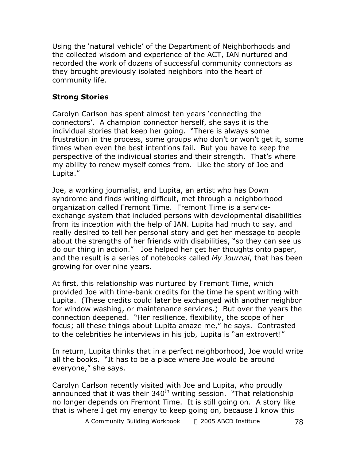Using the 'natural vehicle' of the Department of Neighborhoods and the collected wisdom and experience of the ACT, IAN nurtured and recorded the work of dozens of successful community connectors as they brought previously isolated neighbors into the heart of community life.

### **Strong Stories**

Carolyn Carlson has spent almost ten years 'connecting the connectors'. A champion connector herself, she says it is the individual stories that keep her going. "There is always some frustration in the process, some groups who don't or won't get it, some times when even the best intentions fail. But you have to keep the perspective of the individual stories and their strength. That's where my ability to renew myself comes from. Like the story of Joe and Lupita."

Joe, a working journalist, and Lupita, an artist who has Down syndrome and finds writing difficult, met through a neighborhood organization called Fremont Time. Fremont Time is a serviceexchange system that included persons with developmental disabilities from its inception with the help of IAN. Lupita had much to say, and really desired to tell her personal story and get her message to people about the strengths of her friends with disabilities, "so they can see us do our thing in action." Joe helped her get her thoughts onto paper, and the result is a series of notebooks called *My Journal*, that has been growing for over nine years.

At first, this relationship was nurtured by Fremont Time, which provided Joe with time-bank credits for the time he spent writing with Lupita. (These credits could later be exchanged with another neighbor for window washing, or maintenance services.) But over the years the connection deepened. "Her resilience, flexibility, the scope of her focus; all these things about Lupita amaze me," he says. Contrasted to the celebrities he interviews in his job, Lupita is "an extrovert!"

In return, Lupita thinks that in a perfect neighborhood, Joe would write all the books. "It has to be a place where Joe would be around everyone," she says.

Carolyn Carlson recently visited with Joe and Lupita, who proudly announced that it was their  $340<sup>th</sup>$  writing session. "That relationship no longer depends on Fremont Time. It is still going on. A story like that is where I get my energy to keep going on, because I know this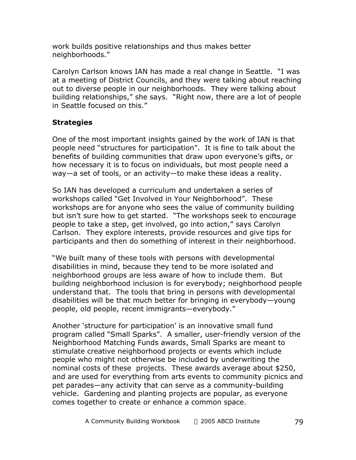work builds positive relationships and thus makes better neighborhoods."

Carolyn Carlson knows IAN has made a real change in Seattle. "I was at a meeting of District Councils, and they were talking about reaching out to diverse people in our neighborhoods. They were talking about building relationships," she says. "Right now, there are a lot of people in Seattle focused on this."

# **Strategies**

One of the most important insights gained by the work of IAN is that people need "structures for participation". It is fine to talk about the benefits of building communities that draw upon everyone's gifts, or how necessary it is to focus on individuals, but most people need a way—a set of tools, or an activity—to make these ideas a reality.

So IAN has developed a curriculum and undertaken a series of workshops called "Get Involved in Your Neighborhood". These workshops are for anyone who sees the value of community building but isn't sure how to get started. "The workshops seek to encourage people to take a step, get involved, go into action," says Carolyn Carlson. They explore interests, provide resources and give tips for participants and then do something of interest in their neighborhood.

"We built many of these tools with persons with developmental disabilities in mind, because they tend to be more isolated and neighborhood groups are less aware of how to include them. But building neighborhood inclusion is for everybody; neighborhood people understand that. The tools that bring in persons with developmental disabilities will be that much better for bringing in everybody—young people, old people, recent immigrants—everybody."

Another 'structure for participation' is an innovative small fund program called "Small Sparks". A smaller, user-friendly version of the Neighborhood Matching Funds awards, Small Sparks are meant to stimulate creative neighborhood projects or events which include people who might not otherwise be included by underwriting the nominal costs of these projects. These awards average about \$250, and are used for everything from arts events to community picnics and pet parades—any activity that can serve as a community-building vehicle. Gardening and planting projects are popular, as everyone comes together to create or enhance a common space.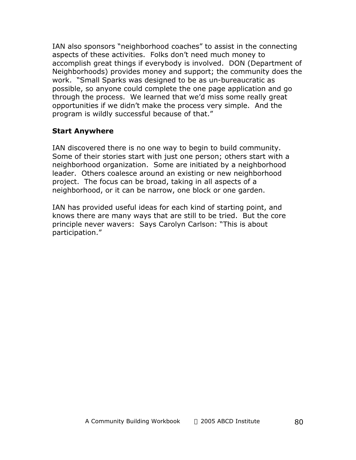IAN also sponsors "neighborhood coaches" to assist in the connecting aspects of these activities. Folks don't need much money to accomplish great things if everybody is involved. DON (Department of Neighborhoods) provides money and support; the community does the work. "Small Sparks was designed to be as un-bureaucratic as possible, so anyone could complete the one page application and go through the process. We learned that we'd miss some really great opportunities if we didn't make the process very simple. And the program is wildly successful because of that."

# **Start Anywhere**

IAN discovered there is no one way to begin to build community. Some of their stories start with just one person; others start with a neighborhood organization. Some are initiated by a neighborhood leader. Others coalesce around an existing or new neighborhood project. The focus can be broad, taking in all aspects of a neighborhood, or it can be narrow, one block or one garden.

IAN has provided useful ideas for each kind of starting point, and knows there are many ways that are still to be tried. But the core principle never wavers: Says Carolyn Carlson: "This is about participation."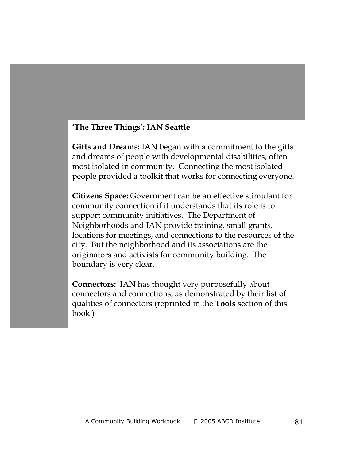# **'The Three Things': IAN Seattle**

**Gifts and Dreams:** IAN began with a commitment to the gifts and dreams of people with developmental disabilities, often most isolated in community. Connecting the most isolated people provided a toolkit that works for connecting everyone.

**Citizens Space:** Government can be an effective stimulant for community connection if it understands that its role is to support community initiatives. The Department of Neighborhoods and IAN provide training, small grants, locations for meetings, and connections to the resources of the city. But the neighborhood and its associations are the originators and activists for community building. The boundary is very clear.

**Connectors:** IAN has thought very purposefully about connectors and connections, as demonstrated by their list of qualities of connectors (reprinted in the **Tools** section of this book.)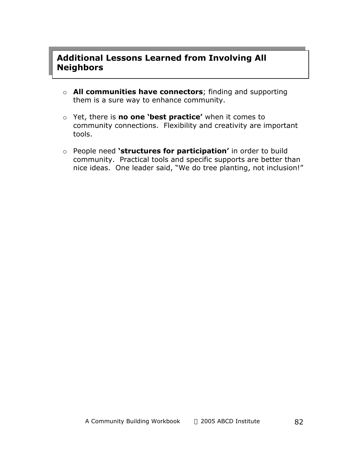# **Additional Lessons Learned from Involving All Neighbors**

- o **All communities have connectors**; finding and supporting them is a sure way to enhance community.
- o Yet, there is **no one 'best practice'** when it comes to community connections. Flexibility and creativity are important tools.
- o People need **'structures for participation'** in order to build community. Practical tools and specific supports are better than nice ideas. One leader said, "We do tree planting, not inclusion!"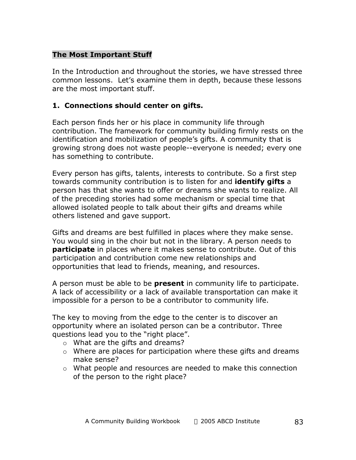# **The Most Important Stuff**

In the Introduction and throughout the stories, we have stressed three common lessons. Let's examine them in depth, because these lessons are the most important stuff.

### **1. Connections should center on gifts.**

Each person finds her or his place in community life through contribution. The framework for community building firmly rests on the identification and mobilization of people's gifts. A community that is growing strong does not waste people--everyone is needed; every one has something to contribute.

Every person has gifts, talents, interests to contribute. So a first step towards community contribution is to listen for and **identify gifts** a person has that she wants to offer or dreams she wants to realize. All of the preceding stories had some mechanism or special time that allowed isolated people to talk about their gifts and dreams while others listened and gave support.

Gifts and dreams are best fulfilled in places where they make sense. You would sing in the choir but not in the library. A person needs to **participate** in places where it makes sense to contribute. Out of this participation and contribution come new relationships and opportunities that lead to friends, meaning, and resources.

A person must be able to be **present** in community life to participate. A lack of accessibility or a lack of available transportation can make it impossible for a person to be a contributor to community life.

The key to moving from the edge to the center is to discover an opportunity where an isolated person can be a contributor. Three questions lead you to the "right place".

- o What are the gifts and dreams?
- o Where are places for participation where these gifts and dreams make sense?
- o What people and resources are needed to make this connection of the person to the right place?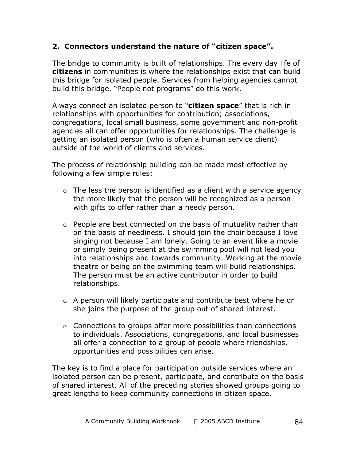# **2. Connectors understand the nature of "citizen space".**

The bridge to community is built of relationships. The every day life of **citizens** in communities is where the relationships exist that can build this bridge for isolated people. Services from helping agencies cannot build this bridge. "People not programs" do this work.

Always connect an isolated person to "**citizen space**" that is rich in relationships with opportunities for contribution; associations, congregations, local small business, some government and non-profit agencies all can offer opportunities for relationships. The challenge is getting an isolated person (who is often a human service client) outside of the world of clients and services.

The process of relationship building can be made most effective by following a few simple rules:

- $\circ$  The less the person is identified as a client with a service agency the more likely that the person will be recognized as a person with gifts to offer rather than a needy person.
- o People are best connected on the basis of mutuality rather than on the basis of neediness. I should join the choir because I love singing not because I am lonely. Going to an event like a movie or simply being present at the swimming pool will not lead you into relationships and towards community. Working at the movie theatre or being on the swimming team will build relationships. The person must be an active contributor in order to build relationships.
- o A person will likely participate and contribute best where he or she joins the purpose of the group out of shared interest.
- o Connections to groups offer more possibilities than connections to individuals. Associations, congregations, and local businesses all offer a connection to a group of people where friendships, opportunities and possibilities can arise.

The key is to find a place for participation outside services where an isolated person can be present, participate, and contribute on the basis of shared interest. All of the preceding stories showed groups going to great lengths to keep community connections in citizen space.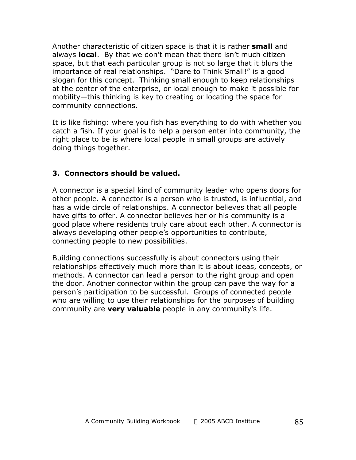Another characteristic of citizen space is that it is rather **small** and always **local**. By that we don't mean that there isn't much citizen space, but that each particular group is not so large that it blurs the importance of real relationships. "Dare to Think Small!" is a good slogan for this concept. Thinking small enough to keep relationships at the center of the enterprise, or local enough to make it possible for mobility—this thinking is key to creating or locating the space for community connections.

It is like fishing: where you fish has everything to do with whether you catch a fish. If your goal is to help a person enter into community, the right place to be is where local people in small groups are actively doing things together.

### **3. Connectors should be valued.**

A connector is a special kind of community leader who opens doors for other people. A connector is a person who is trusted, is influential, and has a wide circle of relationships. A connector believes that all people have gifts to offer. A connector believes her or his community is a good place where residents truly care about each other. A connector is always developing other people's opportunities to contribute, connecting people to new possibilities.

Building connections successfully is about connectors using their relationships effectively much more than it is about ideas, concepts, or methods. A connector can lead a person to the right group and open the door. Another connector within the group can pave the way for a person's participation to be successful. Groups of connected people who are willing to use their relationships for the purposes of building community are **very valuable** people in any community's life.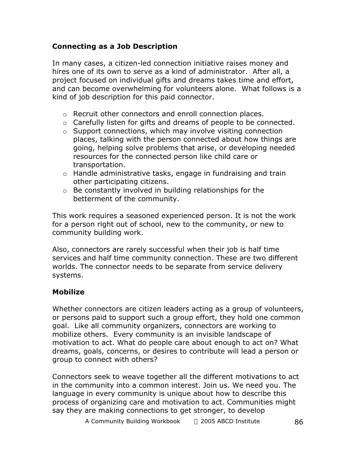# **Connecting as a Job Description**

In many cases, a citizen-led connection initiative raises money and hires one of its own to serve as a kind of administrator. After all, a project focused on individual gifts and dreams takes time and effort, and can become overwhelming for volunteers alone. What follows is a kind of job description for this paid connector.

- o Recruit other connectors and enroll connection places.
- o Carefully listen for gifts and dreams of people to be connected.
- o Support connections, which may involve visiting connection places, talking with the person connected about how things are going, helping solve problems that arise, or developing needed resources for the connected person like child care or transportation.
- o Handle administrative tasks, engage in fundraising and train other participating citizens.
- o Be constantly involved in building relationships for the betterment of the community.

This work requires a seasoned experienced person. It is not the work for a person right out of school, new to the community, or new to community building work.

Also, connectors are rarely successful when their job is half time services and half time community connection. These are two different worlds. The connector needs to be separate from service delivery systems.

# **Mobilize**

Whether connectors are citizen leaders acting as a group of volunteers, or persons paid to support such a group effort, they hold one common goal. Like all community organizers, connectors are working to mobilize others. Every community is an invisible landscape of motivation to act. What do people care about enough to act on? What dreams, goals, concerns, or desires to contribute will lead a person or group to connect with others?

Connectors seek to weave together all the different motivations to act in the community into a common interest. Join us. We need you. The language in every community is unique about how to describe this process of organizing care and motivation to act. Communities might say they are making connections to get stronger, to develop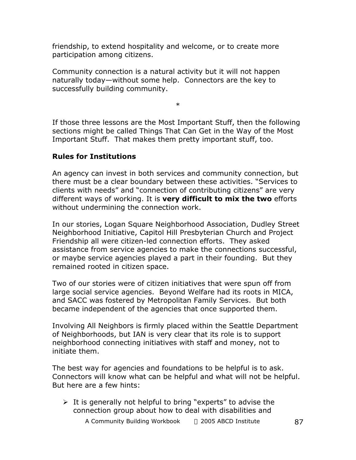friendship, to extend hospitality and welcome, or to create more participation among citizens.

Community connection is a natural activity but it will not happen naturally today—without some help. Connectors are the key to successfully building community.

\*

If those three lessons are the Most Important Stuff, then the following sections might be called Things That Can Get in the Way of the Most Important Stuff. That makes them pretty important stuff, too.

# **Rules for Institutions**

An agency can invest in both services and community connection, but there must be a clear boundary between these activities. "Services to clients with needs" and "connection of contributing citizens" are very different ways of working. It is **very difficult to mix the two** efforts without undermining the connection work.

In our stories, Logan Square Neighborhood Association, Dudley Street Neighborhood Initiative, Capitol Hill Presbyterian Church and Project Friendship all were citizen-led connection efforts. They asked assistance from service agencies to make the connections successful, or maybe service agencies played a part in their founding. But they remained rooted in citizen space.

Two of our stories were of citizen initiatives that were spun off from large social service agencies. Beyond Welfare had its roots in MICA, and SACC was fostered by Metropolitan Family Services. But both became independent of the agencies that once supported them.

Involving All Neighbors is firmly placed within the Seattle Department of Neighborhoods, but IAN is very clear that its role is to support neighborhood connecting initiatives with staff and money, not to initiate them.

The best way for agencies and foundations to be helpful is to ask. Connectors will know what can be helpful and what will not be helpful. But here are a few hints:

 $\triangleright$  It is generally not helpful to bring "experts" to advise the connection group about how to deal with disabilities and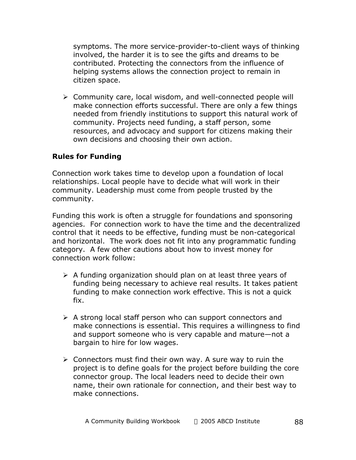symptoms. The more service-provider-to-client ways of thinking involved, the harder it is to see the gifts and dreams to be contributed. Protecting the connectors from the influence of helping systems allows the connection project to remain in citizen space.

 $\triangleright$  Community care, local wisdom, and well-connected people will make connection efforts successful. There are only a few things needed from friendly institutions to support this natural work of community. Projects need funding, a staff person, some resources, and advocacy and support for citizens making their own decisions and choosing their own action.

### **Rules for Funding**

Connection work takes time to develop upon a foundation of local relationships. Local people have to decide what will work in their community. Leadership must come from people trusted by the community.

Funding this work is often a struggle for foundations and sponsoring agencies. For connection work to have the time and the decentralized control that it needs to be effective, funding must be non-categorical and horizontal. The work does not fit into any programmatic funding category. A few other cautions about how to invest money for connection work follow:

- $\triangleright$  A funding organization should plan on at least three years of funding being necessary to achieve real results. It takes patient funding to make connection work effective. This is not a quick fix.
- $\triangleright$  A strong local staff person who can support connectors and make connections is essential. This requires a willingness to find and support someone who is very capable and mature—not a bargain to hire for low wages.
- $\triangleright$  Connectors must find their own way. A sure way to ruin the project is to define goals for the project before building the core connector group. The local leaders need to decide their own name, their own rationale for connection, and their best way to make connections.